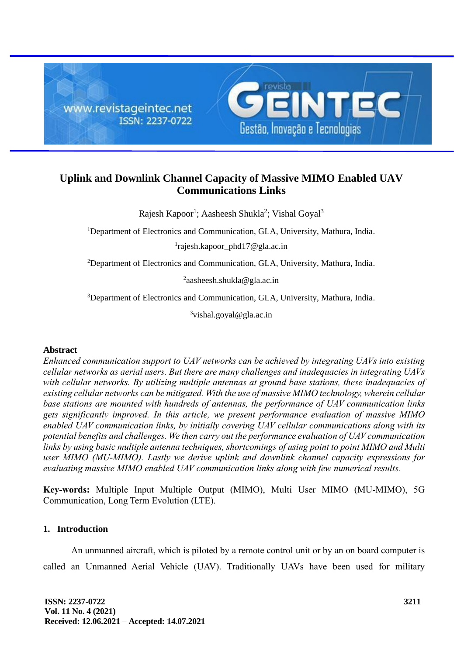

# **Uplink and Downlink Channel Capacity of Massive MIMO Enabled UAV Communications Links**

Rajesh Kapoor<sup>1</sup>; Aasheesh Shukla<sup>2</sup>; Vishal Goyal<sup>3</sup>

<sup>1</sup>Department of Electronics and Communication, GLA, University, Mathura, India.

1 rajesh.kapoor\_phd17@gla.ac.in

<sup>2</sup>Department of Electronics and Communication, GLA, University, Mathura, India.

<sup>2</sup>aasheesh.shukla@gla.ac.in

<sup>3</sup>Department of Electronics and Communication, GLA, University, Mathura, India.

 $3$ vishal.goyal@gla.ac.in

# **Abstract**

*Enhanced communication support to UAV networks can be achieved by integrating UAVs into existing cellular networks as aerial users. But there are many challenges and inadequacies in integrating UAVs with cellular networks. By utilizing multiple antennas at ground base stations, these inadequacies of existing cellular networks can be mitigated. With the use of massive MIMO technology, wherein cellular base stations are mounted with hundreds of antennas, the performance of UAV communication links gets significantly improved. In this article, we present performance evaluation of massive MIMO enabled UAV communication links, by initially covering UAV cellular communications along with its potential benefits and challenges. We then carry out the performance evaluation of UAV communication links by using basic multiple antenna techniques, shortcomings of using point to point MIMO and Multi user MIMO (MU-MIMO). Lastly we derive uplink and downlink channel capacity expressions for evaluating massive MIMO enabled UAV communication links along with few numerical results.*

**Key-words:** Multiple Input Multiple Output (MIMO), Multi User MIMO (MU-MIMO), 5G Communication, Long Term Evolution (LTE).

# **1. Introduction**

An unmanned aircraft, which is piloted by a remote control unit or by an on board computer is called an Unmanned Aerial Vehicle (UAV). Traditionally UAVs have been used for military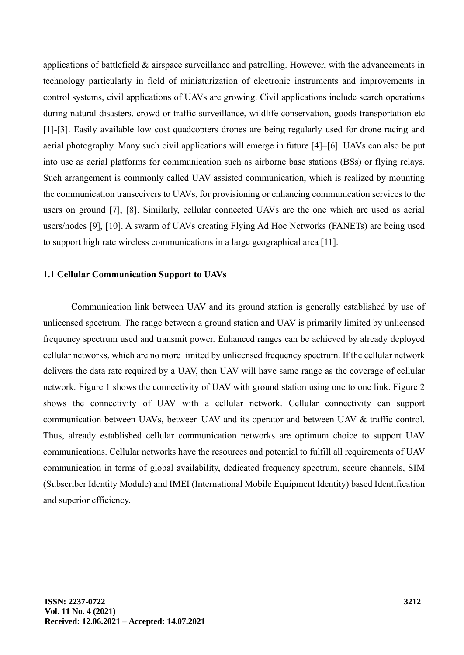applications of battlefield & airspace surveillance and patrolling. However, with the advancements in technology particularly in field of miniaturization of electronic instruments and improvements in control systems, civil applications of UAVs are growing. Civil applications include search operations during natural disasters, crowd or traffic surveillance, wildlife conservation, goods transportation etc [1]-[3]. Easily available low cost quadcopters drones are being regularly used for drone racing and aerial photography. Many such civil applications will emerge in future [4]–[6]. UAVs can also be put into use as aerial platforms for communication such as airborne base stations (BSs) or flying relays. Such arrangement is commonly called UAV assisted communication, which is realized by mounting the communication transceivers to UAVs, for provisioning or enhancing communication services to the users on ground [7], [8]. Similarly, cellular connected UAVs are the one which are used as aerial users/nodes [9], [10]. A swarm of UAVs creating Flying Ad Hoc Networks (FANETs) are being used to support high rate wireless communications in a large geographical area [11].

### **1.1 Cellular Communication Support to UAVs**

Communication link between UAV and its ground station is generally established by use of unlicensed spectrum. The range between a ground station and UAV is primarily limited by unlicensed frequency spectrum used and transmit power. Enhanced ranges can be achieved by already deployed cellular networks, which are no more limited by unlicensed frequency spectrum. If the cellular network delivers the data rate required by a UAV, then UAV will have same range as the coverage of cellular network. Figure 1 shows the connectivity of UAV with ground station using one to one link. Figure 2 shows the connectivity of UAV with a cellular network. Cellular connectivity can support communication between UAVs, between UAV and its operator and between UAV & traffic control. Thus, already established cellular communication networks are optimum choice to support UAV communications. Cellular networks have the resources and potential to fulfill all requirements of UAV communication in terms of global availability, dedicated frequency spectrum, secure channels, SIM (Subscriber Identity Module) and IMEI (International Mobile Equipment Identity) based Identification and superior efficiency.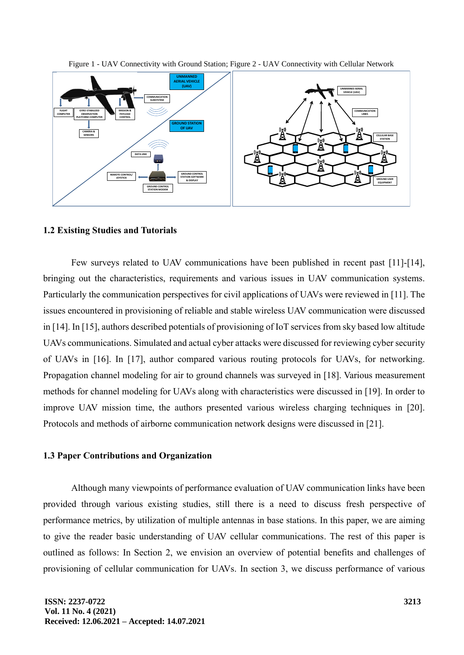



### **1.2 Existing Studies and Tutorials**

Few surveys related to UAV communications have been published in recent past [11]-[14], bringing out the characteristics, requirements and various issues in UAV communication systems. Particularly the communication perspectives for civil applications of UAVs were reviewed in [11]. The issues encountered in provisioning of reliable and stable wireless UAV communication were discussed in [14]. In [15], authors described potentials of provisioning of IoT services from sky based low altitude UAVs communications. Simulated and actual cyber attacks were discussed for reviewing cyber security of UAVs in [16]. In [17], author compared various routing protocols for UAVs, for networking. Propagation channel modeling for air to ground channels was surveyed in [18]. Various measurement methods for channel modeling for UAVs along with characteristics were discussed in [19]. In order to improve UAV mission time, the authors presented various wireless charging techniques in [20]. Protocols and methods of airborne communication network designs were discussed in [21].

#### **1.3 Paper Contributions and Organization**

Although many viewpoints of performance evaluation of UAV communication links have been provided through various existing studies, still there is a need to discuss fresh perspective of performance metrics, by utilization of multiple antennas in base stations. In this paper, we are aiming to give the reader basic understanding of UAV cellular communications. The rest of this paper is outlined as follows: In Section 2, we envision an overview of potential benefits and challenges of provisioning of cellular communication for UAVs. In section 3, we discuss performance of various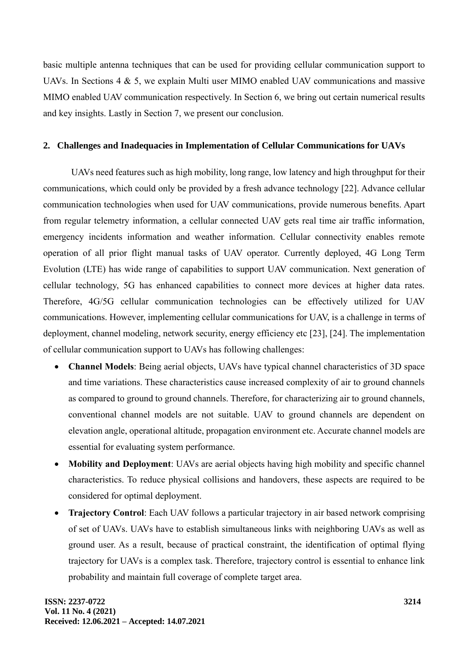basic multiple antenna techniques that can be used for providing cellular communication support to UAVs. In Sections 4 & 5, we explain Multi user MIMO enabled UAV communications and massive MIMO enabled UAV communication respectively. In Section 6, we bring out certain numerical results and key insights. Lastly in Section 7, we present our conclusion.

# **2. Challenges and Inadequacies in Implementation of Cellular Communications for UAVs**

UAVs need features such as high mobility, long range, low latency and high throughput for their communications, which could only be provided by a fresh advance technology [22]. Advance cellular communication technologies when used for UAV communications, provide numerous benefits. Apart from regular telemetry information, a cellular connected UAV gets real time air traffic information, emergency incidents information and weather information. Cellular connectivity enables remote operation of all prior flight manual tasks of UAV operator. Currently deployed, 4G Long Term Evolution (LTE) has wide range of capabilities to support UAV communication. Next generation of cellular technology, 5G has enhanced capabilities to connect more devices at higher data rates. Therefore, 4G/5G cellular communication technologies can be effectively utilized for UAV communications. However, implementing cellular communications for UAV, is a challenge in terms of deployment, channel modeling, network security, energy efficiency etc [23], [24]. The implementation of cellular communication support to UAVs has following challenges:

- **Channel Models**: Being aerial objects, UAVs have typical channel characteristics of 3D space and time variations. These characteristics cause increased complexity of air to ground channels as compared to ground to ground channels. Therefore, for characterizing air to ground channels, conventional channel models are not suitable. UAV to ground channels are dependent on elevation angle, operational altitude, propagation environment etc. Accurate channel models are essential for evaluating system performance.
- **Mobility and Deployment**: UAVs are aerial objects having high mobility and specific channel characteristics. To reduce physical collisions and handovers, these aspects are required to be considered for optimal deployment.
- **Trajectory Control**: Each UAV follows a particular trajectory in air based network comprising of set of UAVs. UAVs have to establish simultaneous links with neighboring UAVs as well as ground user. As a result, because of practical constraint, the identification of optimal flying trajectory for UAVs is a complex task. Therefore, trajectory control is essential to enhance link probability and maintain full coverage of complete target area.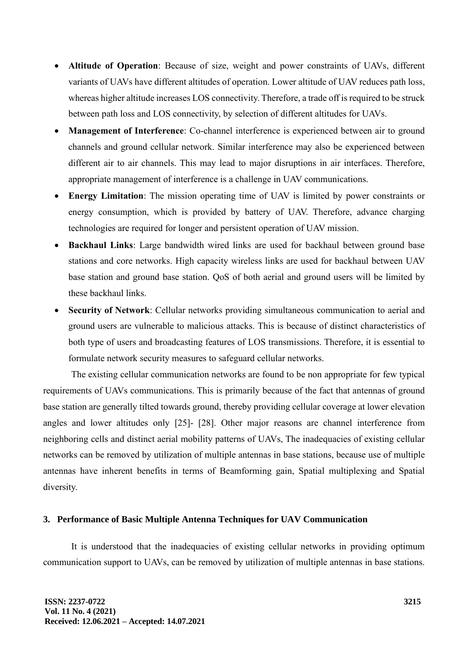- **Altitude of Operation**: Because of size, weight and power constraints of UAVs, different variants of UAVs have different altitudes of operation. Lower altitude of UAV reduces path loss, whereas higher altitude increases LOS connectivity. Therefore, a trade off is required to be struck between path loss and LOS connectivity, by selection of different altitudes for UAVs.
- **Management of Interference**: Co-channel interference is experienced between air to ground channels and ground cellular network. Similar interference may also be experienced between different air to air channels. This may lead to major disruptions in air interfaces. Therefore, appropriate management of interference is a challenge in UAV communications.
- **Energy Limitation**: The mission operating time of UAV is limited by power constraints or energy consumption, which is provided by battery of UAV. Therefore, advance charging technologies are required for longer and persistent operation of UAV mission.
- **Backhaul Links**: Large bandwidth wired links are used for backhaul between ground base stations and core networks. High capacity wireless links are used for backhaul between UAV base station and ground base station. QoS of both aerial and ground users will be limited by these backhaul links.
- **Security of Network**: Cellular networks providing simultaneous communication to aerial and ground users are vulnerable to malicious attacks. This is because of distinct characteristics of both type of users and broadcasting features of LOS transmissions. Therefore, it is essential to formulate network security measures to safeguard cellular networks.

The existing cellular communication networks are found to be non appropriate for few typical requirements of UAVs communications. This is primarily because of the fact that antennas of ground base station are generally tilted towards ground, thereby providing cellular coverage at lower elevation angles and lower altitudes only [25]- [28]. Other major reasons are channel interference from neighboring cells and distinct aerial mobility patterns of UAVs, The inadequacies of existing cellular networks can be removed by utilization of multiple antennas in base stations, because use of multiple antennas have inherent benefits in terms of Beamforming gain, Spatial multiplexing and Spatial diversity.

# **3. Performance of Basic Multiple Antenna Techniques for UAV Communication**

It is understood that the inadequacies of existing cellular networks in providing optimum communication support to UAVs, can be removed by utilization of multiple antennas in base stations.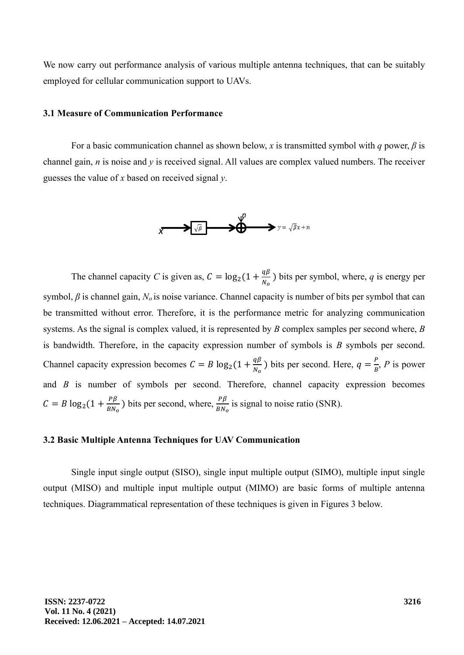We now carry out performance analysis of various multiple antenna techniques, that can be suitably employed for cellular communication support to UAVs.

#### **3.1 Measure of Communication Performance**

For a basic communication channel as shown below, *x* is transmitted symbol with *q* power, *β* is channel gain, *n* is noise and *y* is received signal. All values are complex valued numbers. The receiver guesses the value of *x* based on received signal *y*.



The channel capacity *C* is given as,  $C = \log_2(1 + \frac{q\beta}{N})$  $\frac{q_p}{N_o}$ ) bits per symbol, where, *q* is energy per symbol, *β* is channel gain, *N<sup>o</sup>* is noise variance. Channel capacity is number of bits per symbol that can be transmitted without error. Therefore, it is the performance metric for analyzing communication systems. As the signal is complex valued, it is represented by *B* complex samples per second where, *B* is bandwidth. Therefore, in the capacity expression number of symbols is *B* symbols per second. Channel capacity expression becomes  $C = B \log_2(1 + \frac{q\beta}{N})$  $\frac{q\beta}{N_o}$ ) bits per second. Here,  $q = \frac{P}{B}$  $\frac{P}{B}$ , *P* is power and *B* is number of symbols per second. Therefore, channel capacity expression becomes  $C = B \log_2(1 + \frac{P\beta}{RN})$  $\frac{P\beta}{BN_o}$ ) bits per second, where,  $\frac{P\beta}{BN_o}$  is signal to noise ratio (SNR).

# **3.2 Basic Multiple Antenna Techniques for UAV Communication**

Single input single output (SISO), single input multiple output (SIMO), multiple input single output (MISO) and multiple input multiple output (MIMO) are basic forms of multiple antenna techniques. Diagrammatical representation of these techniques is given in Figures 3 below.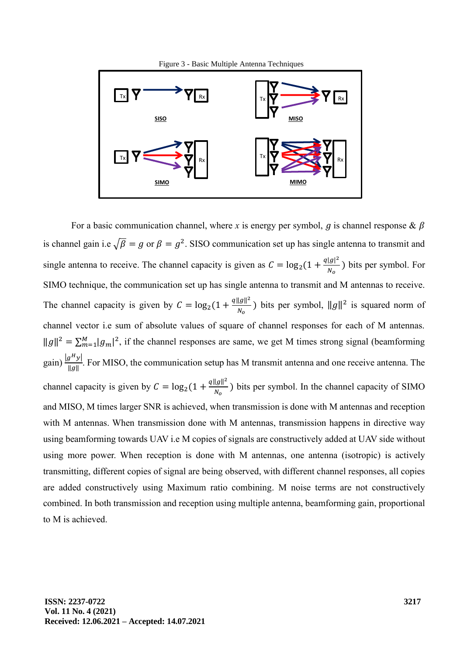

For a basic communication channel, where *x* is energy per symbol, *g* is channel response &  $\beta$ is channel gain i.e  $\sqrt{\beta} = g$  or  $\beta = g^2$ . SISO communication set up has single antenna to transmit and single antenna to receive. The channel capacity is given as  $C = \log_2(1 + \frac{q|g|^2}{N}$  $\frac{g(t)}{N_o}$ ) bits per symbol. For SIMO technique, the communication set up has single antenna to transmit and M antennas to receive. The channel capacity is given by  $C = \log_2(1 + \frac{q||g||^2}{N})$  $\frac{\|g\|^2}{N_o}$ ) bits per symbol,  $\|g\|^2$  is squared norm of channel vector i.e sum of absolute values of square of channel responses for each of M antennas.  $||g||^2 = \sum_{m=1}^{M} |g_m|^2$ , if the channel responses are same, we get M times strong signal (beamforming gain)  $\frac{|g^H y|}{||x||}$  $\frac{g(y)}{\|g\|}$ . For MISO, the communication setup has M transmit antenna and one receive antenna. The channel capacity is given by  $C = \log_2(1 + \frac{q||g||^2}{N})$  $\frac{f(y)}{N_o}$ ) bits per symbol. In the channel capacity of SIMO and MISO, M times larger SNR is achieved, when transmission is done with M antennas and reception with M antennas. When transmission done with M antennas, transmission happens in directive way using beamforming towards UAV i.e M copies of signals are constructively added at UAV side without using more power. When reception is done with M antennas, one antenna (isotropic) is actively transmitting, different copies of signal are being observed, with different channel responses, all copies are added constructively using Maximum ratio combining. M noise terms are not constructively combined. In both transmission and reception using multiple antenna, beamforming gain, proportional to M is achieved.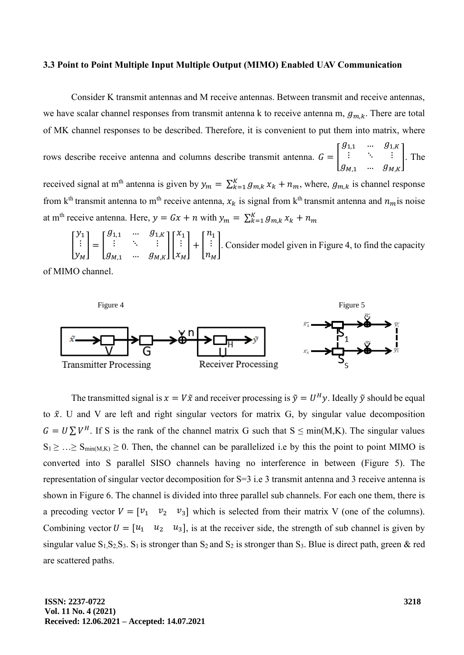#### **3.3 Point to Point Multiple Input Multiple Output (MIMO) Enabled UAV Communication**

Consider K transmit antennas and M receive antennas. Between transmit and receive antennas, we have scalar channel responses from transmit antenna k to receive antenna m,  $g_{m,k}$ . There are total of MK channel responses to be described. Therefore, it is convenient to put them into matrix, where

rows describe receive antenna and columns describe transmit antenna.  $G = |$  $g_{1,1}$  …  $g_{1,K}$  $\vdots$   $\vdots$  $g_{M,1}$  …  $g_{M,K}$ ]. The

received signal at m<sup>th</sup> antenna is given by  $y_m = \sum_{k=1}^{K} g_{m,k} x_k + n_m$ , where,  $g_{m,k}$  is channel response from k<sup>th</sup> transmit antenna to m<sup>th</sup> receive antenna,  $x_k$  is signal from k<sup>th</sup> transmit antenna and  $n_m$  is noise at m<sup>th</sup> receive antenna. Here,  $y = Gx + n$  with  $y_m = \sum_{k=1}^{K} g_{m,k} x_k + n_m$ 

[  $y_1$ ⋮  $y_M$  $=$   $\vert$  $g_{1,1}$  …  $g_{1,K}$  $\vdots$   $\vdots$   $\ddots$   $\vdots$  $g_{M,1}$  …  $g_{M,K}$  $\prod$  $x_1$ ⋮  $x_M$  $| + |$  $n<sub>1</sub>$ ⋮  $n_M$ ]. Consider model given in Figure 4, to find the capacity

of MIMO channel.



The transmitted signal is  $x = V\tilde{x}$  and receiver processing is  $\tilde{y} = U^H y$ . Ideally  $\tilde{y}$  should be equal to  $\tilde{x}$ . U and V are left and right singular vectors for matrix G, by singular value decomposition  $G = U \sum V^H$ . If S is the rank of the channel matrix G such that  $S \le \min(M,K)$ . The singular values  $S_1 \geq ... \geq S_{min(M,K)} \geq 0$ . Then, the channel can be parallelized i.e by this the point to point MIMO is converted into S parallel SISO channels having no interference in between (Figure 5). The representation of singular vector decomposition for S=3 i.e 3 transmit antenna and 3 receive antenna is shown in Figure 6. The channel is divided into three parallel sub channels. For each one them, there is a precoding vector  $V = \begin{bmatrix} v_1 & v_2 & v_3 \end{bmatrix}$  which is selected from their matrix V (one of the columns). Combining vector  $U = \begin{bmatrix} u_1 & u_2 & u_3 \end{bmatrix}$ , is at the receiver side, the strength of sub channel is given by singular value  $S_1, S_2, S_3$ .  $S_1$  is stronger than  $S_2$  and  $S_2$  is stronger than  $S_3$ . Blue is direct path, green & red are scattered paths.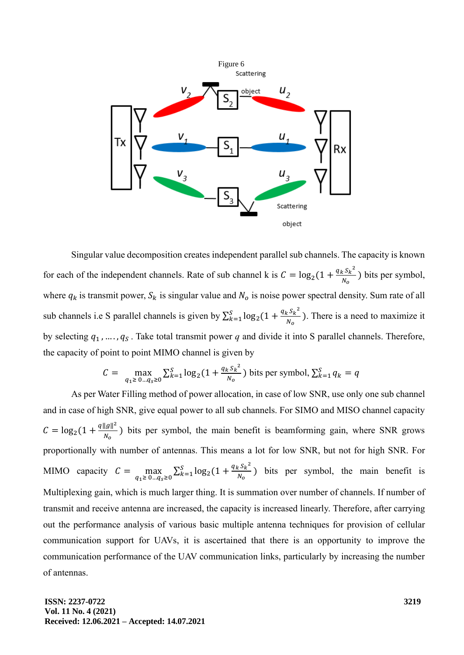

Singular value decomposition creates independent parallel sub channels. The capacity is known for each of the independent channels. Rate of sub channel k is  $C = \log_2(1 + \frac{q_k S_k^2}{N}$  $\frac{k^3k}{N_o}$ ) bits per symbol, where  $q_k$  is transmit power,  $S_k$  is singular value and  $N_o$  is noise power spectral density. Sum rate of all sub channels i.e S parallel channels is given by  $\sum_{k=1}^{S} \log_2(1 + \frac{q_k S_k^2}{N}$  $\frac{S}{k=1} \log_2(1 + \frac{q_k S_k}{N_o})$ . There is a need to maximize it by selecting  $q_1$ , ...,  $q_S$ . Take total transmit power  $q$  and divide it into S parallel channels. Therefore, the capacity of point to point MIMO channel is given by

$$
C = \max_{q_1 \ge 0 \ldots q_s \ge 0} \sum_{k=1}^{S} \log_2(1 + \frac{q_k s_k^2}{N_o})
$$
 bits per symbol,  $\sum_{k=1}^{S} q_k = q$ 

As per Water Filling method of power allocation, in case of low SNR, use only one sub channel and in case of high SNR, give equal power to all sub channels. For SIMO and MISO channel capacity  $C = \log_2(1 + \frac{q||g||^2}{N}$  $\frac{f(x)}{N_o}$ ) bits per symbol, the main benefit is beamforming gain, where SNR grows proportionally with number of antennas. This means a lot for low SNR, but not for high SNR. For MIMO capacity  $C = \max$  $\max_{q_1 \geq 0 \ldots q_s \geq 0} \sum_{k=1}^{S} \log_2(1 + \frac{q_k s_k^2}{N_o})$  $\frac{S}{k}$ =1 log<sub>2</sub>(1 +  $\frac{q_k s_k}{N_o}$ ) bits per symbol, the main benefit is Multiplexing gain, which is much larger thing. It is summation over number of channels. If number of transmit and receive antenna are increased, the capacity is increased linearly. Therefore, after carrying out the performance analysis of various basic multiple antenna techniques for provision of cellular communication support for UAVs, it is ascertained that there is an opportunity to improve the communication performance of the UAV communication links, particularly by increasing the number of antennas.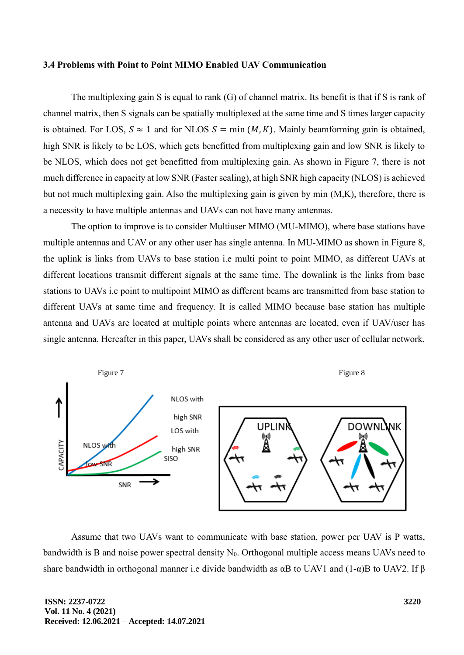#### **3.4 Problems with Point to Point MIMO Enabled UAV Communication**

The multiplexing gain S is equal to rank (G) of channel matrix. Its benefit is that if S is rank of channel matrix, then S signals can be spatially multiplexed at the same time and S times larger capacity is obtained. For LOS,  $S \approx 1$  and for NLOS  $S = min(M, K)$ . Mainly beamforming gain is obtained, high SNR is likely to be LOS, which gets benefitted from multiplexing gain and low SNR is likely to be NLOS, which does not get benefitted from multiplexing gain. As shown in Figure 7, there is not much difference in capacity at low SNR (Faster scaling), at high SNR high capacity (NLOS) is achieved but not much multiplexing gain. Also the multiplexing gain is given by min (M,K), therefore, there is a necessity to have multiple antennas and UAVs can not have many antennas.

The option to improve is to consider Multiuser MIMO (MU-MIMO), where base stations have multiple antennas and UAV or any other user has single antenna. In MU-MIMO as shown in Figure 8, the uplink is links from UAVs to base station i.e multi point to point MIMO, as different UAVs at different locations transmit different signals at the same time. The downlink is the links from base stations to UAVs i.e point to multipoint MIMO as different beams are transmitted from base station to different UAVs at same time and frequency. It is called MIMO because base station has multiple antenna and UAVs are located at multiple points where antennas are located, even if UAV/user has single antenna. Hereafter in this paper, UAVs shall be considered as any other user of cellular network.



Assume that two UAVs want to communicate with base station, power per UAV is P watts, bandwidth is B and noise power spectral density  $N_0$ . Orthogonal multiple access means UAVs need to share bandwidth in orthogonal manner i.e divide bandwidth as  $\alpha$ B to UAV1 and  $(1-\alpha)$ B to UAV2. If  $\beta$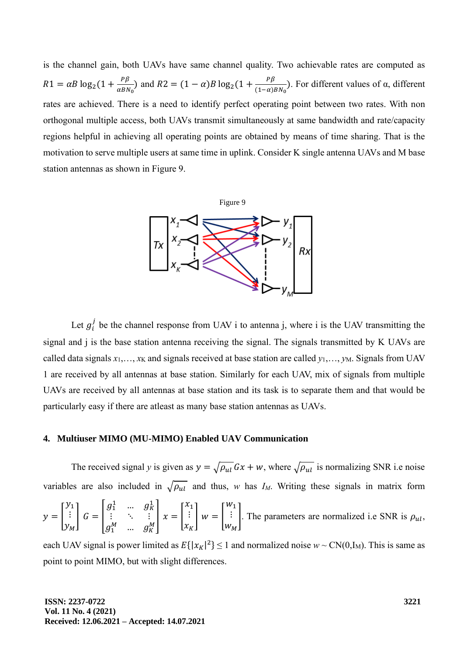is the channel gain, both UAVs have same channel quality. Two achievable rates are computed as  $R1 = \alpha B \log_2(1 + \frac{P\beta}{\alpha B N})$  $\frac{P\beta}{\alpha BN_0}$ ) and  $R2 = (1 - \alpha)B \log_2(1 + \frac{P\beta}{(1 - \alpha)})$  $\frac{(1-\alpha)BN_0}{(1-\alpha)BN_0}$ . For different values of  $\alpha$ , different rates are achieved. There is a need to identify perfect operating point between two rates. With non orthogonal multiple access, both UAVs transmit simultaneously at same bandwidth and rate/capacity regions helpful in achieving all operating points are obtained by means of time sharing. That is the motivation to serve multiple users at same time in uplink. Consider K single antenna UAVs and M base station antennas as shown in Figure 9.



Let  $g_i^j$  be the channel response from UAV i to antenna j, where i is the UAV transmitting the signal and j is the base station antenna receiving the signal. The signals transmitted by K UAVs are called data signals  $x_1, \ldots, x_K$  and signals received at base station are called  $y_1, \ldots, y_M$ . Signals from UAV 1 are received by all antennas at base station. Similarly for each UAV, mix of signals from multiple UAVs are received by all antennas at base station and its task is to separate them and that would be particularly easy if there are atleast as many base station antennas as UAVs.

#### **4. Multiuser MIMO (MU-MIMO) Enabled UAV Communication**

The received signal *y* is given as  $y = \sqrt{\rho_{ul}} Gx + w$ , where  $\sqrt{\rho_{ul}}$  is normalizing SNR i.e noise variables are also included in  $\sqrt{\rho_{ul}}$  and thus, *w* has *I<sub>M</sub>*. Writing these signals in matrix form  $1<sup>1</sup>$ 

$$
y = \begin{bmatrix} y_1 \\ \vdots \\ y_M \end{bmatrix} G = \begin{bmatrix} g_1^1 & \dots & g_K^1 \\ \vdots & \ddots & \vdots \\ g_1^M & \dots & g_K^M \end{bmatrix} x = \begin{bmatrix} x_1 \\ \vdots \\ x_K \end{bmatrix} w = \begin{bmatrix} w_1 \\ \vdots \\ w_M \end{bmatrix}.
$$
 The parameters are normalized i.e SNR is  $\rho_{ul}$ ,

each UAV signal is power limited as  $E\{|x_K|^2\} \le 1$  and normalized noise  $w \sim CN(0, I_M)$ . This is same as point to point MIMO, but with slight differences.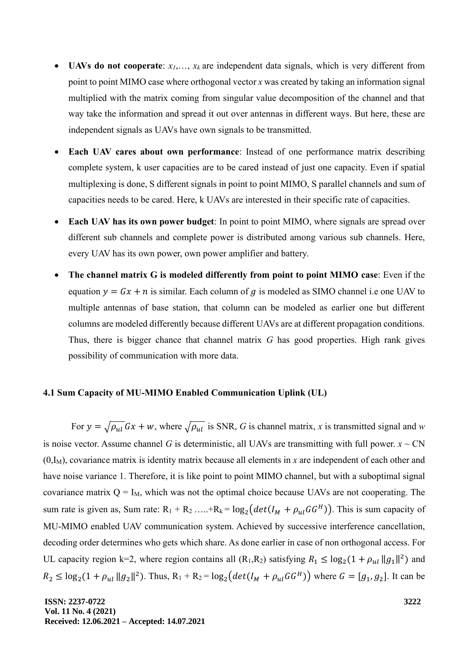- **UAVs do not cooperate:**  $x_1, \ldots, x_k$  are independent data signals, which is very different from point to point MIMO case where orthogonal vector *x* was created by taking an information signal multiplied with the matrix coming from singular value decomposition of the channel and that way take the information and spread it out over antennas in different ways. But here, these are independent signals as UAVs have own signals to be transmitted.
- **Each UAV cares about own performance:** Instead of one performance matrix describing complete system, k user capacities are to be cared instead of just one capacity. Even if spatial multiplexing is done, S different signals in point to point MIMO, S parallel channels and sum of capacities needs to be cared. Here, k UAVs are interested in their specific rate of capacities.
- **Each UAV has its own power budget**: In point to point MIMO, where signals are spread over different sub channels and complete power is distributed among various sub channels. Here, every UAV has its own power, own power amplifier and battery.
- **The channel matrix G is modeled differently from point to point MIMO case**: Even if the equation  $y = Gx + n$  is similar. Each column of g is modeled as SIMO channel i.e one UAV to multiple antennas of base station, that column can be modeled as earlier one but different columns are modeled differently because different UAVs are at different propagation conditions. Thus, there is bigger chance that channel matrix *G* has good properties. High rank gives possibility of communication with more data.

#### **4.1 Sum Capacity of MU-MIMO Enabled Communication Uplink (UL)**

For  $y = \sqrt{\rho_{ul}} Gx + w$ , where  $\sqrt{\rho_{ul}}$  is SNR, *G* is channel matrix, *x* is transmitted signal and *w* is noise vector. Assume channel *G* is deterministic, all UAVs are transmitting with full power.  $x \sim CN$ (0,IM), covariance matrix is identity matrix because all elements in *x* are independent of each other and have noise variance 1. Therefore, it is like point to point MIMO channel, but with a suboptimal signal covariance matrix  $Q = I_M$ , which was not the optimal choice because UAVs are not cooperating. The sum rate is given as, Sum rate:  $R_1 + R_2$  ..... +  $R_k = log_2(det(I_M + \rho_{ul}GG^H))$ . This is sum capacity of MU-MIMO enabled UAV communication system. Achieved by successive interference cancellation, decoding order determines who gets which share. As done earlier in case of non orthogonal access. For UL capacity region k=2, where region contains all  $(R_1, R_2)$  satisfying  $R_1 \leq \log_2(1 + \rho_{ul} ||g_1||^2)$  and  $R_2 \leq \log_2(1 + \rho_{ul} \|g_2\|^2)$ . Thus,  $R_1 + R_2 = \log_2\left(det(I_M + \rho_{ul}GG^H)\right)$  where  $G = [g_1, g_2]$ . It can be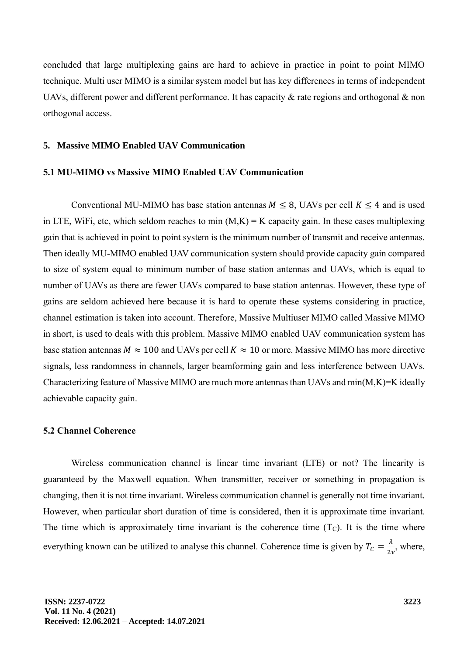concluded that large multiplexing gains are hard to achieve in practice in point to point MIMO technique. Multi user MIMO is a similar system model but has key differences in terms of independent UAVs, different power and different performance. It has capacity & rate regions and orthogonal & non orthogonal access.

#### **5. Massive MIMO Enabled UAV Communication**

#### **5.1 MU-MIMO vs Massive MIMO Enabled UAV Communication**

Conventional MU-MIMO has base station antennas  $M \leq 8$ , UAVs per cell  $K \leq 4$  and is used in LTE, WiFi, etc, which seldom reaches to min  $(M,K) = K$  capacity gain. In these cases multiplexing gain that is achieved in point to point system is the minimum number of transmit and receive antennas. Then ideally MU-MIMO enabled UAV communication system should provide capacity gain compared to size of system equal to minimum number of base station antennas and UAVs, which is equal to number of UAVs as there are fewer UAVs compared to base station antennas. However, these type of gains are seldom achieved here because it is hard to operate these systems considering in practice, channel estimation is taken into account. Therefore, Massive Multiuser MIMO called Massive MIMO in short, is used to deals with this problem. Massive MIMO enabled UAV communication system has base station antennas  $M \approx 100$  and UAVs per cell  $K \approx 10$  or more. Massive MIMO has more directive signals, less randomness in channels, larger beamforming gain and less interference between UAVs. Characterizing feature of Massive MIMO are much more antennas than UAVs and  $min(M,K)=K$  ideally achievable capacity gain.

# **5.2 Channel Coherence**

Wireless communication channel is linear time invariant (LTE) or not? The linearity is guaranteed by the Maxwell equation. When transmitter, receiver or something in propagation is changing, then it is not time invariant. Wireless communication channel is generally not time invariant. However, when particular short duration of time is considered, then it is approximate time invariant. The time which is approximately time invariant is the coherence time  $(T<sub>C</sub>)$ . It is the time where everything known can be utilized to analyse this channel. Coherence time is given by  $T_c = \frac{\lambda}{2}$  $\frac{\lambda}{2\nu}$ , where,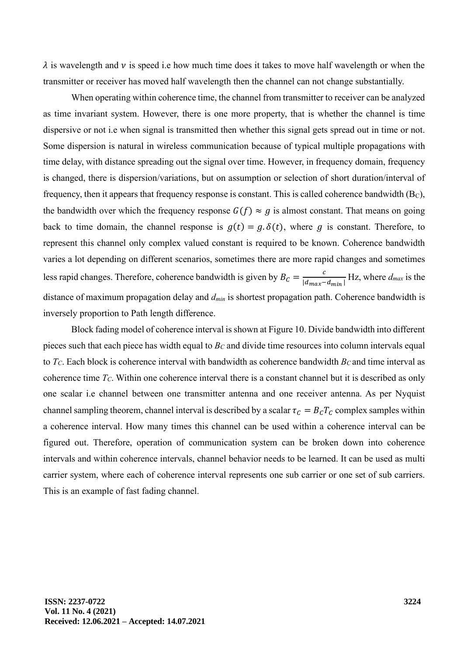$\lambda$  is wavelength and  $\nu$  is speed i.e how much time does it takes to move half wavelength or when the transmitter or receiver has moved half wavelength then the channel can not change substantially.

When operating within coherence time, the channel from transmitter to receiver can be analyzed as time invariant system. However, there is one more property, that is whether the channel is time dispersive or not i.e when signal is transmitted then whether this signal gets spread out in time or not. Some dispersion is natural in wireless communication because of typical multiple propagations with time delay, with distance spreading out the signal over time. However, in frequency domain, frequency is changed, there is dispersion/variations, but on assumption or selection of short duration/interval of frequency, then it appears that frequency response is constant. This is called coherence bandwidth  $(B_C)$ , the bandwidth over which the frequency response  $G(f) \approx g$  is almost constant. That means on going back to time domain, the channel response is  $g(t) = g \delta(t)$ , where g is constant. Therefore, to represent this channel only complex valued constant is required to be known. Coherence bandwidth varies a lot depending on different scenarios, sometimes there are more rapid changes and sometimes less rapid changes. Therefore, coherence bandwidth is given by  $B_c = \frac{c}{|d_{\text{max}}|}$  $\frac{c}{|d_{max}-d_{min}|}$  Hz, where  $d_{max}$  is the distance of maximum propagation delay and *dmin* is shortest propagation path. Coherence bandwidth is inversely proportion to Path length difference.

Block fading model of coherence interval is shown at Figure 10. Divide bandwidth into different pieces such that each piece has width equal to *B<sup>C</sup>* and divide time resources into column intervals equal to *TC*. Each block is coherence interval with bandwidth as coherence bandwidth *B<sup>C</sup>* and time interval as coherence time *TC*. Within one coherence interval there is a constant channel but it is described as only one scalar i.e channel between one transmitter antenna and one receiver antenna. As per Nyquist channel sampling theorem, channel interval is described by a scalar  $\tau_c = B_c T_c$  complex samples within a coherence interval. How many times this channel can be used within a coherence interval can be figured out. Therefore, operation of communication system can be broken down into coherence intervals and within coherence intervals, channel behavior needs to be learned. It can be used as multi carrier system, where each of coherence interval represents one sub carrier or one set of sub carriers. This is an example of fast fading channel.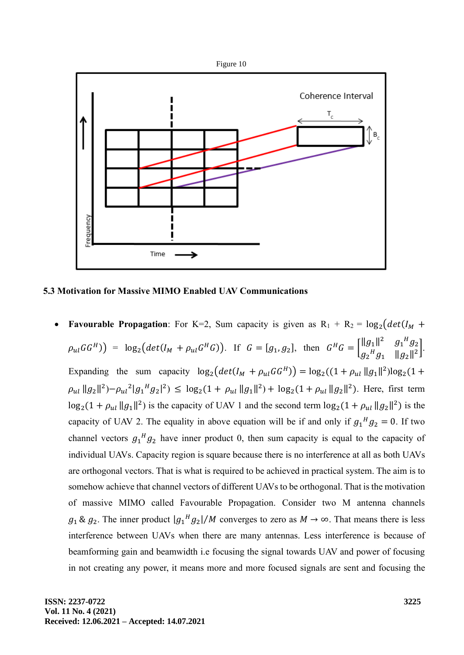

**5.3 Motivation for Massive MIMO Enabled UAV Communications**

**Favourable Propagation**: For K=2, Sum capacity is given as  $R_1 + R_2 = \log_2(det(I_M + I_M))$  $\rho_{ul}GG^H$ ) =  $\log_2 \left( det(I_M + \rho_{ul}G^H G) \right)$ . If  $G = [g_1, g_2]$ , then  $G^H G = \begin{bmatrix} ||g_1||^2 & g_1^H g_2 \ g_1^H g_2 & \frac{d}{2} \end{bmatrix}$  $g_2^Hg_1$   $||g_2||^2$ . Expanding the sum capacity  $\log_2\left(det(I_M + \rho_{ul}GG^H)\right) = \log_2\left((1 + \rho_{ul} ||g_1||^2)\log_2(1 +$  $\rho_{ul} \|g_2\|^2$ ) $-\rho_{ul}^2 |g_1^H g_2|^2$ )  $\leq \log_2(1 + \rho_{ul} \|g_1\|^2) + \log_2(1 + \rho_{ul} \|g_2\|^2)$ . Here, first term  $\log_2(1 + \rho_{ul} ||g_1||^2)$  is the capacity of UAV 1 and the second term  $\log_2(1 + \rho_{ul} ||g_2||^2)$  is the capacity of UAV 2. The equality in above equation will be if and only if  $g_1{}^H g_2 = 0$ . If two channel vectors  $g_1{}^H g_2$  have inner product 0, then sum capacity is equal to the capacity of individual UAVs. Capacity region is square because there is no interference at all as both UAVs are orthogonal vectors. That is what is required to be achieved in practical system. The aim is to somehow achieve that channel vectors of different UAVs to be orthogonal. That is the motivation of massive MIMO called Favourable Propagation. Consider two M antenna channels  $g_1 \& g_2$ . The inner product  $|g_1{}^H g_2|/M$  converges to zero as  $M \to \infty$ . That means there is less interference between UAVs when there are many antennas. Less interference is because of beamforming gain and beamwidth i.e focusing the signal towards UAV and power of focusing in not creating any power, it means more and more focused signals are sent and focusing the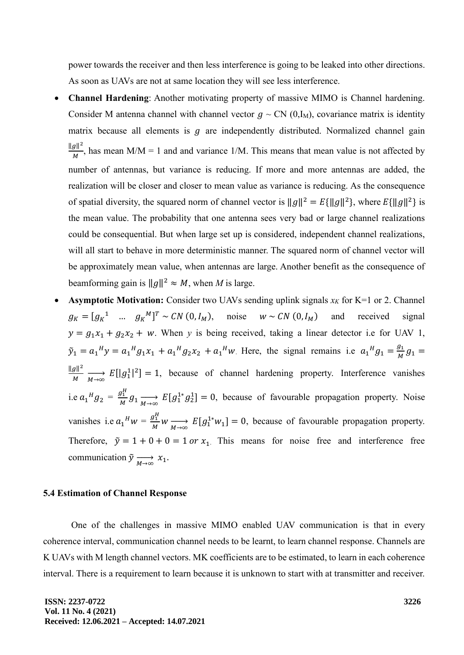power towards the receiver and then less interference is going to be leaked into other directions. As soon as UAVs are not at same location they will see less interference.

- **Channel Hardening**: Another motivating property of massive MIMO is Channel hardening. Consider M antenna channel with channel vector  $g \sim CN (0, I_M)$ , covariance matrix is identity matrix because all elements is  $g$  are independently distributed. Normalized channel gain  $\|g\|^2$  $\frac{g_{\parallel}}{M}$ , has mean M/M = 1 and and variance 1/M. This means that mean value is not affected by number of antennas, but variance is reducing. If more and more antennas are added, the realization will be closer and closer to mean value as variance is reducing. As the consequence of spatial diversity, the squared norm of channel vector is  $||g||^2 = E{||g||^2}$ , where  $E{||g||^2}$  is the mean value. The probability that one antenna sees very bad or large channel realizations could be consequential. But when large set up is considered, independent channel realizations, will all start to behave in more deterministic manner. The squared norm of channel vector will be approximately mean value, when antennas are large. Another benefit as the consequence of beamforming gain is  $||g||^2 \approx M$ , when *M* is large.
- **Asymptotic Motivation:** Consider two UAVs sending uplink signals  $x_K$  for K=1 or 2. Channel  $g_K = [g_K^1$  ...  $g_K^M]^T \sim CN(0, I_M)$ , noise  $w \sim CN(0, I_M)$  and received signal  $y = g_1 x_1 + g_2 x_2 + w$ . When *y* is being received, taking a linear detector i.e for UAV 1,  $\tilde{y}_1 = a_1^H y = a_1^H g_1 x_1 + a_1^H g_2 x_2 + a_1^H w$ . Here, the signal remains i.e  $a_1^H g_1 = \frac{g_1^H g_2}{M}$  $\frac{g_1}{M}g_1 =$  $\|g\|^2$  $\frac{g_{\parallel}}{M}$   $\longrightarrow_{\infty} E[|g_1^1|^2] = 1$ , because of channel hardening property. Interference vanishes i.e  $a_1{}^H g_2 = \frac{g_1^H}{M}$  $\frac{g_1}{M} g_1 \longrightarrow_{\infty} E[g_1^{1*} g_2^1] = 0$ , because of favourable propagation property. Noise vanishes i.e  $a_1^H w = \frac{g_1^H w}{M}$  $\lim_{M} w \longrightarrow_{M \to \infty} E[g_1^{1*} w_1] = 0$ , because of favourable propagation property. Therefore,  $\tilde{y} = 1 + 0 + 0 = 1$  or  $x_1$ . This means for noise free and interference free communication  $\tilde{y} \xrightarrow[M \to \infty]{} x_1$ .

#### **5.4 Estimation of Channel Response**

One of the challenges in massive MIMO enabled UAV communication is that in every coherence interval, communication channel needs to be learnt, to learn channel response. Channels are K UAVs with M length channel vectors. MK coefficients are to be estimated, to learn in each coherence interval. There is a requirement to learn because it is unknown to start with at transmitter and receiver.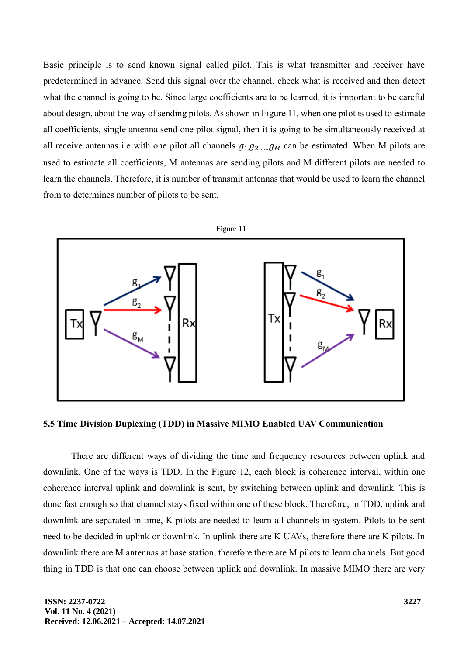Basic principle is to send known signal called pilot. This is what transmitter and receiver have predetermined in advance. Send this signal over the channel, check what is received and then detect what the channel is going to be. Since large coefficients are to be learned, it is important to be careful about design, about the way of sending pilots. As shown in Figure 11, when one pilot is used to estimate all coefficients, single antenna send one pilot signal, then it is going to be simultaneously received at all receive antennas i.e with one pilot all channels  $g_{1,1}g_{2,1}g_{2,2}g_{3}$  can be estimated. When M pilots are used to estimate all coefficients, M antennas are sending pilots and M different pilots are needed to learn the channels. Therefore, it is number of transmit antennas that would be used to learn the channel from to determines number of pilots to be sent.



**5.5 Time Division Duplexing (TDD) in Massive MIMO Enabled UAV Communication** 

There are different ways of dividing the time and frequency resources between uplink and downlink. One of the ways is TDD. In the Figure 12, each block is coherence interval, within one coherence interval uplink and downlink is sent, by switching between uplink and downlink. This is done fast enough so that channel stays fixed within one of these block. Therefore, in TDD, uplink and downlink are separated in time, K pilots are needed to learn all channels in system. Pilots to be sent need to be decided in uplink or downlink. In uplink there are K UAVs, therefore there are K pilots. In downlink there are M antennas at base station, therefore there are M pilots to learn channels. But good thing in TDD is that one can choose between uplink and downlink. In massive MIMO there are very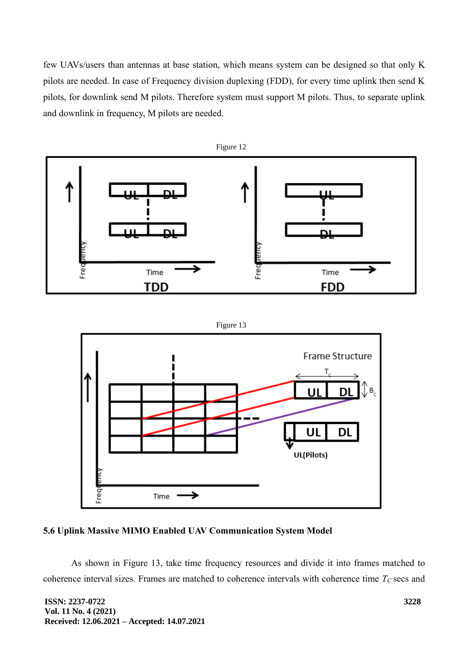few UAVs/users than antennas at base station, which means system can be designed so that only K pilots are needed. In case of Frequency division duplexing (FDD), for every time uplink then send K pilots, for downlink send M pilots. Therefore system must support M pilots. Thus, to separate uplink and downlink in frequency, M pilots are needed.



Figure 13



# **5.6 Uplink Massive MIMO Enabled UAV Communication System Model**

As shown in Figure 13, take time frequency resources and divide it into frames matched to coherence interval sizes. Frames are matched to coherence intervals with coherence time *T<sup>C</sup>* secs and

**ISSN: 2237-0722 Vol. 11 No. 4 (2021) Received: 12.06.2021 – Accepted: 14.07.2021**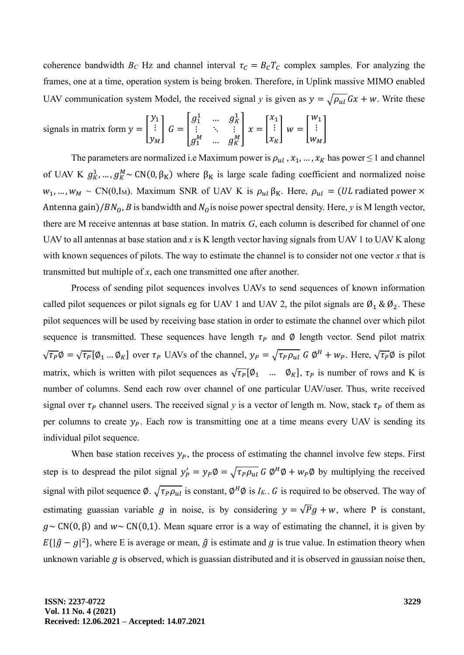coherence bandwidth  $B_C$  Hz and channel interval  $\tau_c = B_c T_c$  complex samples. For analyzing the frames, one at a time, operation system is being broken. Therefore, in Uplink massive MIMO enabled UAV communication system Model, the received signal *y* is given as  $y = \sqrt{\rho_{ul}} Gx + w$ . Write these

\n signals in matrix form \n 
$$
y = \begin{bmatrix} y_1 \\ \vdots \\ y_M \end{bmatrix} \n \begin{bmatrix} G \\ G \end{bmatrix} = \begin{bmatrix} g_1^1 & \dots & g_K^1 \\ \vdots & \ddots & \vdots \\ g_1^M & \dots & g_K^M \end{bmatrix} \n \begin{bmatrix} x_1 \\ \vdots \\ x_K \end{bmatrix} \n \begin{bmatrix} w_1 \\ \vdots \\ w_M \end{bmatrix}
$$
\n

The parameters are normalized i.e Maximum power is  $\rho_{ul}$ ,  $x_1, ..., x_K$  has power  $\leq 1$  and channel of UAV K  $g_K^1$ , ...,  $g_K^M \sim CN(0, \beta_K)$  where  $\beta_K$  is large scale fading coefficient and normalized noise  $w_1, ..., w_M \sim CN(0, I_M)$ . Maximum SNR of UAV K is  $\rho_{ul} \beta_K$ . Here,  $\rho_{ul} = (UL \text{ radiated power} \times$ Antenna gain)/ $BN<sub>0</sub>$ , *B* is bandwidth and  $N<sub>0</sub>$  is noise power spectral density. Here, *y* is M length vector, there are M receive antennas at base station. In matrix *G*, each column is described for channel of one UAV to all antennas at base station and *x* is K length vector having signals from UAV 1 to UAV K along with known sequences of pilots. The way to estimate the channel is to consider not one vector *x* that is transmitted but multiple of *x*, each one transmitted one after another.

Process of sending pilot sequences involves UAVs to send sequences of known information called pilot sequences or pilot signals eg for UAV 1 and UAV 2, the pilot signals are  $\emptyset_1 \otimes \emptyset_2$ . These pilot sequences will be used by receiving base station in order to estimate the channel over which pilot sequence is transmitted. These sequences have length  $\tau_p$  and Ø length vector. Send pilot matrix  $\sqrt{\tau_P} \emptyset = \sqrt{\tau_P} [\emptyset_1 ... \emptyset_K]$  over  $\tau_P$  UAVs of the channel,  $y_P = \sqrt{\tau_P \rho_{ul}} G \emptyset^H + w_P$ . Here,  $\sqrt{\tau_P} \emptyset$  is pilot matrix, which is written with pilot sequences as  $\sqrt{\tau_P}[\emptyset_1 \dots \emptyset_K]$ ,  $\tau_P$  is number of rows and K is number of columns. Send each row over channel of one particular UAV/user. Thus, write received signal over  $\tau_p$  channel users. The received signal *y* is a vector of length m. Now, stack  $\tau_p$  of them as per columns to create  $y_p$ . Each row is transmitting one at a time means every UAV is sending its individual pilot sequence.

When base station receives  $y_p$ , the process of estimating the channel involve few steps. First step is to despread the pilot signal  $y'_P = y_P \phi = \sqrt{\tau_P \rho_{ul}} G \phi^H \phi + w_P \phi$  by multiplying the received signal with pilot sequence  $\emptyset$ .  $\sqrt{\tau_P \rho_{ul}}$  is constant,  $\emptyset^H \emptyset$  is  $I_K$ . G is required to be observed. The way of estimating guassian variable g in noise, is by considering  $y = \sqrt{P}g + w$ , where P is constant,  $g \sim CN(0, \beta)$  and  $w \sim CN(0,1)$ . Mean square error is a way of estimating the channel, it is given by  $E\{|\hat{g} - g|^2\}$ , where E is average or mean,  $\hat{g}$  is estimate and g is true value. In estimation theory when unknown variable  $g$  is observed, which is guassian distributed and it is observed in gaussian noise then,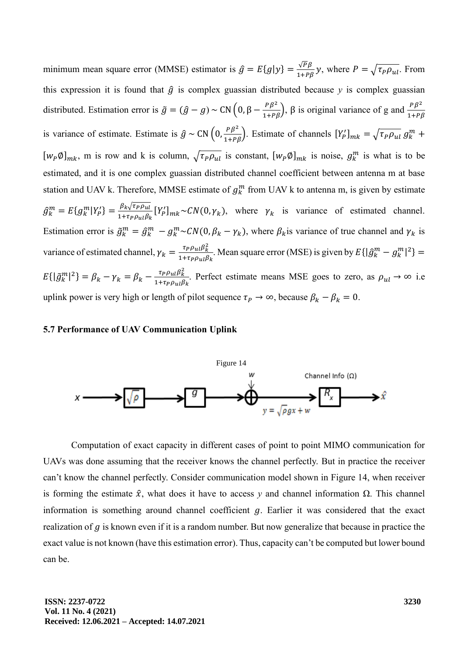minimum mean square error (MMSE) estimator is  $\hat{g} = E{g|y} = \frac{\sqrt{P\beta}}{1+P\beta}y$ , where  $P = \sqrt{\tau_P \rho_{ul}}$ . From this expression it is found that  $\hat{g}$  is complex guassian distributed because  $y$  is complex guassian distributed. Estimation error is  $\tilde{g} = (\hat{g} - g) \sim CN(0, \beta - \frac{p\beta^2}{1 + p\beta})$ ,  $\beta$  is original variance of g and  $\frac{p\beta^2}{1 + p\beta}$  $1+P\beta$ is variance of estimate. Estimate is  $\hat{g} \sim CN\left(0, \frac{p\beta^2}{1+p\beta}\right)$ . Estimate of channels  $[Y_p']_{mk} = \sqrt{\tau_p \rho_{ul}} g_k^m +$  $[w_P \emptyset]_{mk}$ , m is row and k is column,  $\sqrt{\tau_P \rho_{ul}}$  is constant,  $[w_P \emptyset]_{mk}$  is noise,  $g_k^m$  is what is to be estimated, and it is one complex guassian distributed channel coefficient between antenna m at base station and UAV k. Therefore, MMSE estimate of  $g_k^m$  from UAV k to antenna m, is given by estimate  $\hat{g}_k^m = E\{g_k^m|Y_p'\} = \frac{\beta_k\sqrt{\tau_P\rho_{ul}}}{1+\tau_D\rho_{ul}\beta_l}$  $\frac{\beta_k \sqrt{\tau_P \rho_{ul}}}{1+\tau_P \rho_{ul} \beta_k} [Y'_P]_{mk} \sim CN(0, \gamma_k)$ , where  $\gamma_k$  is variance of estimated channel. Estimation error is  $\tilde{g}_k^m = \hat{g}_k^m - g_k^m \sim CN(0, \beta_k - \gamma_k)$ , where  $\beta_k$  is variance of true channel and  $\gamma_k$  is variance of estimated channel,  $\gamma_k = \frac{\tau_P \rho_{ul} \beta_k^2}{1 + \tau_R \rho_{ul} \beta_k^2}$  $\frac{\tau_P \rho_{ul} \beta_{k}}{1+\tau_P \rho_{ul} \beta_{k}}$ . Mean square error (MSE) is given by  $E\{\left|\hat{g}_{k}^{m} - g_{k}^{m}\right|^{2}\} =$  $E\{\left|\tilde{g}_k^m\right|^2\} = \beta_k - \gamma_k = \beta_k - \frac{\tau_P \rho_{ul} \beta_k^2}{1 + \tau_P \rho_{ul} \beta_k^2}$  $\frac{P\mu_{\mu}P\mu_{\nu}}{1+\tau_{P}\rho_{ul}\beta_{k}}$ . Perfect estimate means MSE goes to zero, as  $\rho_{ul} \rightarrow \infty$  i.e uplink power is very high or length of pilot sequence  $\tau_p \to \infty$ , because  $\beta_k - \beta_k = 0$ .

#### **5.7 Performance of UAV Communication Uplink**



Computation of exact capacity in different cases of point to point MIMO communication for UAVs was done assuming that the receiver knows the channel perfectly. But in practice the receiver can't know the channel perfectly. Consider communication model shown in Figure 14, when receiver is forming the estimate  $\hat{x}$ , what does it have to access y and channel information  $\Omega$ . This channel information is something around channel coefficient  $g$ . Earlier it was considered that the exact realization of  $g$  is known even if it is a random number. But now generalize that because in practice the exact value is not known (have this estimation error). Thus, capacity can't be computed but lower bound can be.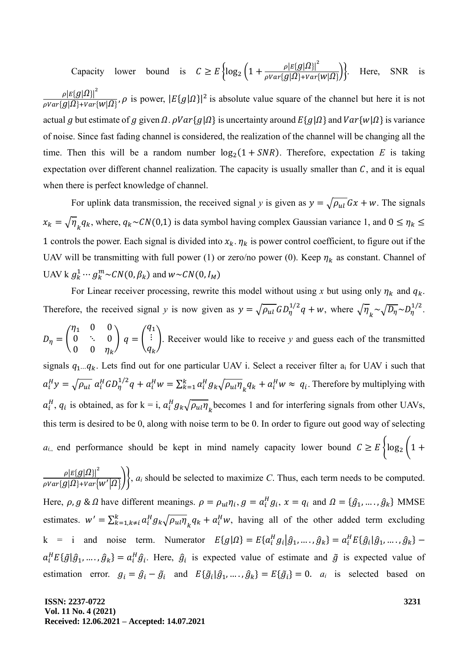Capacity lower bound is  $C \ge E \left\{ \log_2 \left( 1 + \frac{\rho |E[g|\Omega]|^2}{\rho Var[g(\Omega)+Var]} \right) \right\}$  $\overline{\rho Var\{g|\Omega\}+Var\{W|\Omega\}}$ Here, SNR  $\rho |E\{g| \Omega \} |^2$  ${\frac{\rho |E\{g|Q\}\lambda}{\rho Var\{g|Q\}+Var\{W|Q\}}}, \rho$  is power,  $|E\{g|Q\}|^2$  is absolute value square of the channel but here it is not actual g but estimate of g given  $\Omega$ .  $\rho Var{g|\Omega}$  is uncertainty around  $E{g|\Omega}$  and  $Var{w|\Omega}$  is variance of noise. Since fast fading channel is considered, the realization of the channel will be changing all the time. Then this will be a random number  $log_2(1 + SNR)$ . Therefore, expectation *E* is taking expectation over different channel realization. The capacity is usually smaller than  $C$ , and it is equal when there is perfect knowledge of channel.

For uplink data transmission, the received signal *y* is given as  $y = \sqrt{\rho_{ul}} Gx + w$ . The signals  $x_k = \sqrt{\eta_k} q_k$ , where,  $q_k \sim CN(0,1)$  is data symbol having complex Gaussian variance 1, and  $0 \le \eta_k \le$ 1 controls the power. Each signal is divided into  $x_k$ .  $\eta_k$  is power control coefficient, to figure out if the UAV will be transmitting with full power (1) or zero/no power (0). Keep  $\eta_k$  as constant. Channel of UAV k  $g_k^1 \cdots g_k^m \sim \mathcal{CN}(0,\beta_k)$  and  $w \sim \mathcal{CN}(0,I_M)$ 

For Linear receiver processing, rewrite this model without using x but using only  $\eta_k$  and  $q_k$ . Therefore, the received signal *y* is now given as  $y = \sqrt{\rho_{ul}} G D_{\eta}^{1/2} q + w$ , where  $\sqrt{\eta_{k}} \sim \sqrt{D_{\eta}} \sim D_{\eta}^{1/2}$ .  $D_{\eta} =$  $\eta_1$  0 0  $0 \quad \therefore \quad 0$  $0 \quad 0 \quad \eta_k$  $| q = |$  $q_1$ ⋮  $q_k$ ). Receiver would like to receive *y* and guess each of the transmitted signals  $q_1...q_k$ . Lets find out for one particular UAV i. Select a receiver filter  $a_i$  for UAV i such that  $a_i^H y = \sqrt{\rho_{ul}} a_i^H G D_{\eta}^{1/2} q + a_i^H w = \sum_{k=1}^k a_i^H g_k \sqrt{\rho_{ul} \eta_k} q_k + a_i^H w \approx q_i$ . Therefore by multiplying with  $a_i^H$ ,  $q_i$  is obtained, as for  $k = i$ ,  $a_i^H g_k \sqrt{\rho_{ul} \eta_k}$  becomes 1 and for interfering signals from other UAVs, this term is desired to be 0, along with noise term to be 0. In order to figure out good way of selecting *a<sub>i,</sub>* end performance should be kept in mind namely capacity lower bound  $C \ge E \left\{ \log_2 \left(1 + \frac{1}{2} \right) \right\}$ 

 $\rho {|E\{g| \Omega \}}|^2$  $\left\{\frac{p\left[t\right]\left(g\left|\mathbf{a}^{2}\right|\right]}{p\left(\mathbf{a}\right|\left|\mathbf{a}^{2}\right|\left|\mathbf{a}^{2}\right|}\right\}, a_{i} \text{ should be selected to maximize } C. \text{ Thus, each term needs to be computed.}$ Here,  $\rho$ ,  $g \& \Omega$  have different meanings.  $\rho = \rho_{ul} \eta_i$ ,  $g = a_i^H g_i$ ,  $x = q_i$  and  $\Omega = {\hat{g}_1, ..., \hat{g}_k}$  MMSE estimates.  $w' = \sum_{k=1, k \neq i}^{k} a_i^H g_k \sqrt{\rho_{ul} \eta_k} q_k + a_i^H w$ , having all of the other added term excluding  $k = i$  and noise term. Numerator  $E\{g|\Omega\} = E\{a_i^H g_i | \hat{g}_1, \dots, \hat{g}_k\} = a_i^H E\{\hat{g}_i | \hat{g}_1, \dots, \hat{g}_k\}$  $a_i^H E{\{\tilde{g}|\hat{g}_1,\dots,\hat{g}_k\}} = a_i^H \hat{g}_i$ . Here,  $\hat{g}_i$  is expected value of estimate and  $\tilde{g}$  is expected value of estimation error.  $g_i = \hat{g}_i - \tilde{g}_i$  and  $E{\{\tilde{g}_i | \hat{g}_1, ..., \hat{g}_k\}} = E{\{\tilde{g}_i\}} = 0$ .  $a_i$  is selected based on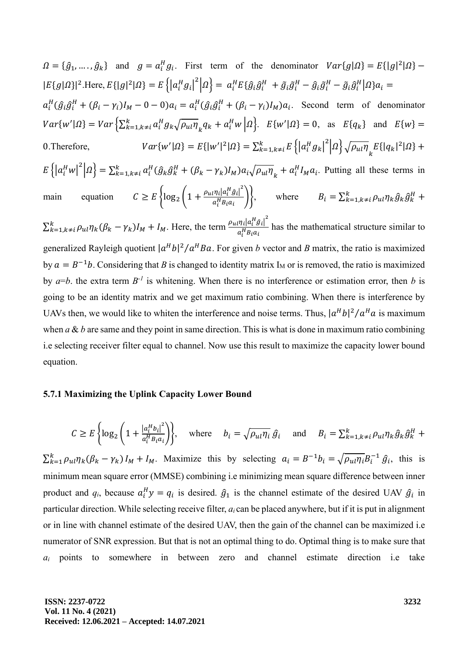$\Omega = {\hat{g}_1, ..., \hat{g}_k}$  and  $g = a_i^H g_i$ . First term of the denominator  $Var{g|\Omega} = E{|g|^2|\Omega}$  –  $|E{g}|\Omega\}|^2$ .Here,  $E{|g|^2|\Omega} = E\left{\left|a_i^H g_i\right|^2\big|\Omega\right} = a_i^H E{\{\hat{g}_i \hat{g}_i^H + \tilde{g}_i \tilde{g}_i^H - \hat{g}_i \tilde{g}_i^H - \tilde{g}_i \hat{g}_i^H\big|\Omega\}a_i =$  $a_i^H(\hat{g}_i \hat{g}_i^H + (\beta_i - \gamma_i)I_M - 0 - 0)a_i = a_i^H(\hat{g}_i \hat{g}_i^H + (\beta_i - \gamma_i)I_M)a_i$ . Second term of denominator  $Var\{w' | \Omega\} = Var\left\{\sum_{k=1, k\neq i}^{k} a_i^H g_k \sqrt{\rho_{ul} \eta}_{k} q_k + a_i^H w \right| \Omega\right\}$ .  $E\{w' | \Omega\} = 0$ , as  $E\{q_k\}$  and  $E\{w\} =$ 0.Therefore,  $\langle |\Omega \rangle = E\{|w'|^2|\Omega\} = \sum_{k=1,k\neq i}^k E\{ |a_i^H g_k|^2 | \Omega\} \sqrt{\rho_{ul} \eta}_{k} E\{ |q_k|^2 |\Omega\} +$  $E\left\{\left|a_i^H w\right|^2 \middle| \Omega\right\} = \sum_{k=1, k\neq i}^k a_i^H (\hat{g}_k \hat{g}_k^H + (\beta_k - \gamma_k) I_M) a_i \sqrt{\rho_{ul} \eta}_k$  $_{k=1,k\neq i}^{k} a_i^H(\hat{g}_k\hat{g}_k^H + (\beta_k - \gamma_k)I_M)a_i\sqrt{\rho_{ul}\eta}_{k} + a_i^H I_M a_i$ . Putting all these terms in main equation  $C \ge E \left\{ \log_2 \left( 1 + \frac{\rho_{ul} \eta_l |a_i^H \hat{g}_l|^2}{a_i^H B_i q_i} \right) \right\}$  $\left\{\begin{array}{l}\frac{\partial f_i |a_i \partial f_j|}{\partial t} \\ \frac{H}{i} B_i a_i \end{array}\right\}$ , where  $B_i = \sum_{k=1, k \neq i}^k \rho_{ul} \eta_k \hat{g}_k \hat{g}_k^H +$  $\sum_{k=1,k\neq i}^{k} \rho_{ul} \eta_k (\beta_k - \gamma_k) I_M + I_M$ . Here, the term  $\frac{\rho_{ul} \eta_i |a_i^H \hat{g}_i|^2}{a_i^H B_i g_i^H}$  $\frac{d^n h |a_i|}{a_i^H B_i a_i}$  has the mathematical structure similar to generalized Rayleigh quotient  $|a^H b|^2 / a^H Ba$ . For given *b* vector and *B* matrix, the ratio is maximized by  $a = B^{-1}b$ . Considering that *B* is changed to identity matrix I<sub>M</sub> or is removed, the ratio is maximized by  $a=b$ . the extra term  $B^{-1}$  is whitening. When there is no interference or estimation error, then *b* is going to be an identity matrix and we get maximum ratio combining. When there is interference by UAVs then, we would like to whiten the interference and noise terms. Thus,  $|a^H b|^2 / a^H a$  is maximum when  $a \& b$  are same and they point in same direction. This is what is done in maximum ratio combining i.e selecting receiver filter equal to channel. Now use this result to maximize the capacity lower bound equation.

#### **5.7.1 Maximizing the Uplink Capacity Lower Bound**

$$
C \ge E\left\{\log_2\left(1 + \frac{|a_i^H b_i|^2}{a_i^H B_i a_i}\right)\right\}, \quad \text{where} \quad b_i = \sqrt{\rho_{ul} \eta_i} \hat{g}_i \quad \text{and} \quad B_i = \sum_{k=1, k \neq i}^k \rho_{ul} \eta_k \hat{g}_k \hat{g}_k^H + \right\}
$$

 $\sum_{k=1}^{k} \rho_{ul} \eta_k (\beta_k - \gamma_k) I_M + I_M$ . Maximize this by selecting  $a_i = B^{-1} b_i = \sqrt{\rho_{ul} \eta_i} B_i^{-1} \hat{g}_i$ , this is minimum mean square error (MMSE) combining i.e minimizing mean square difference between inner product and  $q_i$ , because  $a_i^H y = q_i$  is desired.  $\hat{g}_1$  is the channel estimate of the desired UAV  $\hat{g}_i$  in particular direction. While selecting receive filter, *a<sup>i</sup>* can be placed anywhere, but if it is put in alignment or in line with channel estimate of the desired UAV, then the gain of the channel can be maximized i.e numerator of SNR expression. But that is not an optimal thing to do. Optimal thing is to make sure that *a<sup>i</sup>* points to somewhere in between zero and channel estimate direction i.e take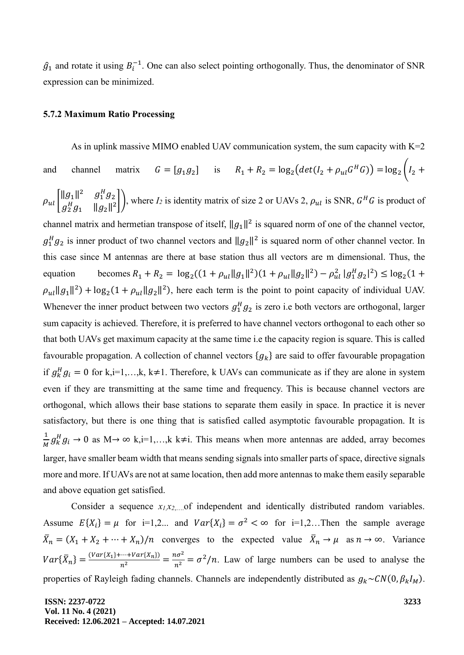$\hat{g}_1$  and rotate it using  $B_i^{-1}$ . One can also select pointing orthogonally. Thus, the denominator of SNR expression can be minimized.

#### **5.7.2 Maximum Ratio Processing**

As in uplink massive MIMO enabled UAV communication system, the sum capacity with  $K=2$ and channel matrix  $G = [g_1 g_2]$  is  $R_1 + R_2 = \log_2 \left( det(I_2 + \rho_{ul} G^H G) \right) = \log_2 \left( I_2 +$  $\rho_{ul}$   $\begin{bmatrix} ||g_1||^2 & g_1^H g_2 \\ g_{H,g}^H & ||g_1||^2 \end{bmatrix}$  $\begin{bmatrix} 2 & 4 & 4 & 4 & 8 & 1 & 9 & 2 \ 2 & 2 & 4 & 1 & 1 & 1 & 1 \ 2 & 2 & 2 & 6 & 1 & 1 \ \end{bmatrix}$ , where *I*<sub>2</sub> is identity matrix of size 2 or UAVs 2,  $\rho_{ul}$  is SNR,  $G^H G$  is product of channel matrix and hermetian transpose of itself,  $||g_1||^2$  is squared norm of one of the channel vector,  $g_1^H g_2$  is inner product of two channel vectors and  $||g_2||^2$  is squared norm of other channel vector. In this case since M antennas are there at base station thus all vectors are m dimensional. Thus, the equation becomes  $R_1 + R_2 = \log_2((1 + \rho_{ul} ||g_1||^2)(1 + \rho_{ul} ||g_2||^2) - \rho_{ul}^2 |g_1^H g_2|^2) \le \log_2(1 +$  $\rho_{ul} ||g_1||^2$  + log<sub>2</sub>(1 +  $\rho_{ul} ||g_2||^2$ ), here each term is the point to point capacity of individual UAV. Whenever the inner product between two vectors  $g_1^H g_2$  is zero i.e both vectors are orthogonal, larger sum capacity is achieved. Therefore, it is preferred to have channel vectors orthogonal to each other so that both UAVs get maximum capacity at the same time i.e the capacity region is square. This is called favourable propagation. A collection of channel vectors  $\{g_k\}$  are said to offer favourable propagation if  $g_k^H g_i = 0$  for k,i=1,...,k, k≠1. Therefore, k UAVs can communicate as if they are alone in system even if they are transmitting at the same time and frequency. This is because channel vectors are orthogonal, which allows their base stations to separate them easily in space. In practice it is never satisfactory, but there is one thing that is satisfied called asymptotic favourable propagation. It is 1  $\frac{1}{M} g_k^H g_i \to 0$  as  $M \to \infty$  k,i=1,...,k k≠i. This means when more antennas are added, array becomes larger, have smaller beam width that means sending signals into smaller parts of space, directive signals more and more. If UAVs are not at same location, then add more antennas to make them easily separable and above equation get satisfied.

Consider a sequence *x1,x2*,….of independent and identically distributed random variables. Assume  $E\{X_i\} = \mu$  for i=1,2... and  $Var\{X_i\} = \sigma^2 < \infty$  for i=1,2... Then the sample average  $\bar{X}_n = (X_1 + X_2 + \dots + X_n)/n$  converges to the expected value  $\bar{X}_n \to \mu$  as  $n \to \infty$ . Variance  $Var\{\bar{X}_n\} = \frac{(Var\{X_1\} + \dots + Var\{X_n\})}{n^2} = \frac{n\sigma^2}{n^2} = \frac{\sigma^2}{n}$ . Law of large numbers can be used to analyse the properties of Rayleigh fading channels. Channels are independently distributed as  $g_k \sim CN(0, \beta_k I_M)$ .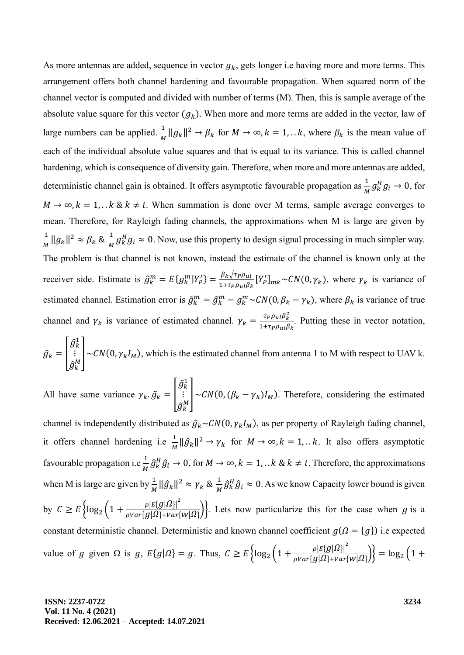As more antennas are added, sequence in vector  $g_k$ , gets longer i.e having more and more terms. This arrangement offers both channel hardening and favourable propagation. When squared norm of the channel vector is computed and divided with number of terms (M). Then, this is sample average of the absolute value square for this vector  $(g_k)$ . When more and more terms are added in the vector, law of large numbers can be applied.  $\frac{1}{M}$  $\frac{1}{M} \|g_k\|^2 \to \beta_k$  for  $M \to \infty$ ,  $k = 1,... k$ , where  $\beta_k$  is the mean value of each of the individual absolute value squares and that is equal to its variance. This is called channel hardening, which is consequence of diversity gain. Therefore, when more and more antennas are added, deterministic channel gain is obtained. It offers asymptotic favourable propagation as  $\frac{1}{M} g_k^H g_i \to 0$ , for  $M \to \infty$ ,  $k = 1, \ldots k$  &  $k \neq i$ . When summation is done over M terms, sample average converges to mean. Therefore, for Rayleigh fading channels, the approximations when M is large are given by 1  $\frac{1}{M} \|g_k\|^2 \approx \beta_k \& \frac{1}{M}$  $\frac{1}{M} g_k^H g_i \approx 0$ . Now, use this property to design signal processing in much simpler way. The problem is that channel is not known, instead the estimate of the channel is known only at the receiver side. Estimate is  $\hat{g}_k^m = E\{g_k^m | Y_p' \} = \frac{\beta_k \sqrt{\tau_P \rho_{ul}}}{1 + \tau_P \rho_{ul} \beta_k}$  $\frac{\beta_k \sqrt{\tau_P \rho_{ul}}}{1+\tau_P \rho_{ul} \beta_k} [Y'_P]_{mk} \sim CN(0, \gamma_k)$ , where  $\gamma_k$  is variance of estimated channel. Estimation error is  $\tilde{g}_k^m = \hat{g}_k^m - g_k^m \sim CN(0, \beta_k - \gamma_k)$ , where  $\beta_k$  is variance of true channel and  $\gamma_k$  is variance of estimated channel.  $\gamma_k = \frac{\tau_P \rho_{ul} \beta_k^2}{1 + \tau_P \rho_{ul} \beta_k^2}$  $\frac{1 + P_{\text{P}}}{1 + \tau_{\text{P}} \rho_{\text{ul}} \beta_k}$ . Putting these in vector notation,

$$
\hat{g}_k = \begin{bmatrix} \hat{g}_k^1 \\ \vdots \\ \hat{g}_k^M \end{bmatrix} \sim CN(0, \gamma_k I_M),
$$
 which is the estimated channel from antenna 1 to M with respect to UAV k.

All have same variance  $\gamma_k \cdot \tilde{g}_k =$  $\tilde{g}^1_k$ ⋮  $\int_{\tilde{g}_k^M}$  ~CN(0, ( $\beta_k - \gamma_k$ )I<sub>M</sub>). Therefore, considering the estimated  $\tilde{g}_k^M$ 

channel is independently distributed as  $\hat{g}_k \sim CN(0, \gamma_k I_M)$ , as per property of Rayleigh fading channel, it offers channel hardening i.e  $\frac{1}{M} \|\hat{g}_k\|^2 \to \gamma_k$  for  $M \to \infty$ ,  $k = 1,... k$ . It also offers asymptotic favourable propagation i.e  $\frac{1}{M} \hat{g}_k^H \hat{g}_i \to 0$ , for  $M \to \infty$ ,  $k = 1, ... k \& k \neq i$ . Therefore, the approximations when M is large are given by  $\frac{1}{M} \|\hat{g}_k\|^2 \approx \gamma_k \& \frac{1}{M}$  $\frac{1}{M} \hat{g}_k^H \hat{g}_i \approx 0$ . As we know Capacity lower bound is given by  $C \geq E \left\{ \log_2 \left( 1 + \frac{\rho |E{g}|\Omega|^2}{\rho Var{g}|\Omega| + Var \} \right) \right\}$  $\frac{\mu_1(\mathcal{B})\leq \mu_2(\mathcal{B})}{\rho Var\{g|\Omega\}+Var\{W|\Omega\}}$ . Lets now particularize this for the case when g is a constant deterministic channel. Deterministic and known channel coefficient  $g(\Omega = \{g\})$  i.e expected value of g given  $\Omega$  is g,  $E{g|\Omega} = g$ . Thus,  $C \ge E \left\{ \log_2 \left(1 + \frac{\rho |E{g|\Omega}|^2}{\rho Var{g|\Omega} + Var{g|\Omega}} \right) \right\}$  $\frac{\rho |E(g)|^{2}}{\rho Var{g}|\Omega\rbrace + Var{W|\Omega\rbrace}}\Big\}=log_2\Big(1+$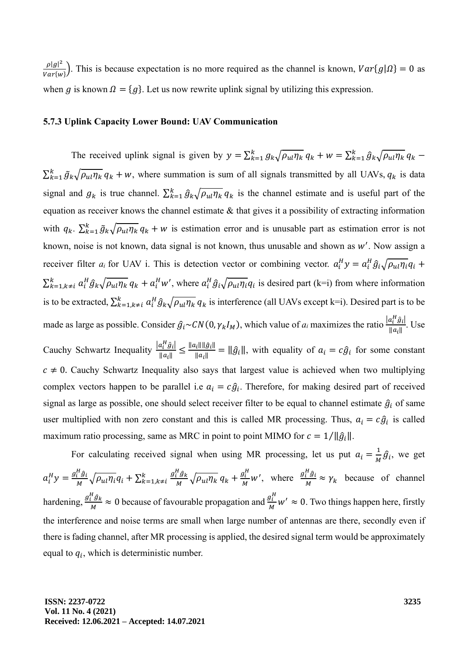$\rho |g|^2$  $\frac{p|g|}{Var{w}}$ ). This is because expectation is no more required as the channel is known,  $Var{g|\Omega} = 0$  as when g is known  $\Omega = \{g\}$ . Let us now rewrite uplink signal by utilizing this expression.

### **5.7.3 Uplink Capacity Lower Bound: UAV Communication**

The received uplink signal is given by  $y = \sum_{k=1}^{k} g_k \sqrt{\rho_{ul} \eta_k} q_k + w = \sum_{k=1}^{k} \hat{g}_k \sqrt{\rho_{ul} \eta_k} q_k$  $\sum_{k=1}^{k} \tilde{g}_k \sqrt{\rho_{ul} \eta_k} q_k + w$ , where summation is sum of all signals transmitted by all UAVs,  $q_k$  is data signal and  $g_k$  is true channel.  $\sum_{k=1}^{k} \hat{g}_k \sqrt{\rho_{ul} \eta_k} q_k$  is the channel estimate and is useful part of the equation as receiver knows the channel estimate & that gives it a possibility of extracting information with  $q_k$ .  $\sum_{k=1}^k \tilde{g}_k \sqrt{\rho_{ul} \eta_k} q_k + w$  is estimation error and is unusable part as estimation error is not known, noise is not known, data signal is not known, thus unusable and shown as  $w'$ . Now assign a receiver filter  $a_i$  for UAV i. This is detection vector or combining vector.  $a_i^H y = a_i^H \hat{g}_i \sqrt{\rho_{ul} \eta_i} q_i$  +  $\sum_{k=1,k\neq i}^{k} a_i^H \hat{g}_k \sqrt{\rho_{ul} \eta_k} q_k + a_i^H w'$ , where  $a_i^H \hat{g}_i \sqrt{\rho_{ul} \eta_i} q_i$  is desired part (k=i) from where information is to be extracted,  $\sum_{k=1,k\neq i}^{k} a_i^H \hat{g}_k \sqrt{\rho_{ul} \eta_k} q_k$  is interference (all UAVs except k=i). Desired part is to be made as large as possible. Consider  $\hat{g}_i \sim CN(0, \gamma_k I_M)$ , which value of  $a_i$  maximizes the ratio  $\frac{|a_i^H \hat{g}_i|}{||a_i||}$  $\frac{a_i g_{i}}{\|a_i\|}$ . Use Cauchy Schwartz Inequality  $\frac{|a_i^H \hat{g}_i|}{\|g\|}$  $\frac{a_i^n \hat{g}_i}{\|a_i\|} \leq \frac{\|a_i\| \|\hat{g}_i\|}{\|a_i\|}$  $\frac{\partial f(x,y)}{\partial a_i} = \|\hat{g}_i\|$ , with equality of  $a_i = c\hat{g}_i$  for some constant  $c \neq 0$ . Cauchy Schwartz Inequality also says that largest value is achieved when two multiplying complex vectors happen to be parallel i.e  $a_i = c\hat{g}_i$ . Therefore, for making desired part of received signal as large as possible, one should select receiver filter to be equal to channel estimate  $\hat{g}_i$  of same user multiplied with non zero constant and this is called MR processing. Thus,  $a_i = c\hat{g}_i$  is called maximum ratio processing, same as MRC in point to point MIMO for  $c = 1/||\hat{g}_i||$ .

For calculating received signal when using MR processing, let us put  $a_i = \frac{1}{M}$  $\frac{1}{M}\hat{g}_i$ , we get  $a_i^H y = \frac{g_i^H \hat{g}_i}{M}$  $\frac{N_H^H \hat{g}_i}{M} \sqrt{\rho_{ul} \eta_i} q_i + \sum_{k=1, k \neq i}^k \frac{g_i^H \hat{g}_k}{M}$  $_{k=1,k\neq i}^{k}$   $\frac{g_i^H\hat{g}_k}{M}\sqrt{\rho_{ul}\eta_k}q_k + \frac{g_i^H}{M}$  $\frac{g_i^H}{M}$ *w'*, where  $\frac{g_i^H \hat{g}_i}{M}$  $\frac{i}{M} \approx \gamma_k$  because of channel hardening,  $\frac{g_i^H \hat{g}_k}{M}$  $\frac{H}{M} \frac{\hat{g}_k}{\hat{g}_l} \approx 0$  because of favourable propagation and  $\frac{g_l^H}{M}$  $\frac{g_i^2}{M}$  w'  $\approx 0$ . Two things happen here, firstly the interference and noise terms are small when large number of antennas are there, secondly even if there is fading channel, after MR processing is applied, the desired signal term would be approximately equal to  $q_i$ , which is deterministic number.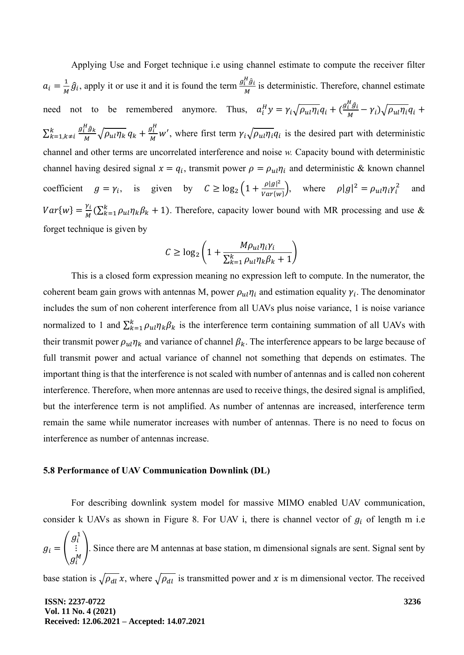Applying Use and Forget technique i.e using channel estimate to compute the receiver filter  $a_i = \frac{1}{M}$  $\frac{1}{M}\hat{g}_i$ , apply it or use it and it is found the term  $\frac{g_i^H\hat{g}_i}{M}$  $\frac{i}{M}$  is deterministic. Therefore, channel estimate need not to be remembered anymore. Thus,  $a_i^H y = \gamma_i \sqrt{\rho_{ul} \eta_i} q_i + (\frac{g_i^H \hat{g}_i}{M})$  $\frac{i}{M} - \gamma_i \gamma \rho_{ul} \eta_i q_i +$  $\sum_{k=1,k\neq i}^{k} \frac{g_i^H \hat{g}_k}{M}$  $\sum_{k=1,k\neq i}^{k} \frac{g_i^H \hat{g}_k}{M} \sqrt{\rho_{ul} \eta_k} q_k + \frac{g_i^H}{M}$  $\frac{g_i}{M}$  w', where first term  $\gamma_i \sqrt{\rho_{ul} \eta_i} q_i$  is the desired part with deterministic channel and other terms are uncorrelated interference and noise *w.* Capacity bound with deterministic channel having desired signal  $x = q_i$ , transmit power  $\rho = \rho_{ul} \eta_i$  and deterministic & known channel coefficient  $g = \gamma_i$ , is given by  $C \ge \log_2 \left(1 + \frac{\rho |g|^2}{Var\{w\}}\right)$  $\frac{\rho|g|^2}{Var\{w\}}$ , where  $\rho|g|^2 = \rho_{ul} \eta_i \gamma_i^2$ and  $Var{w} = \frac{\gamma_i}{M}$  $\frac{\gamma_i}{M}(\sum_{k=1}^k \rho_{ui} \eta_k \beta_k + 1)$ . Therefore, capacity lower bound with MR processing and use & forget technique is given by

$$
C \ge \log_2\left(1 + \frac{M\rho_{ul}\eta_i\gamma_i}{\sum_{k=1}^k \rho_{ul}\eta_k\beta_k + 1}\right)
$$

This is a closed form expression meaning no expression left to compute. In the numerator, the coherent beam gain grows with antennas M, power  $\rho_{ul}\eta_i$  and estimation equality  $\gamma_i$ . The denominator includes the sum of non coherent interference from all UAVs plus noise variance, 1 is noise variance normalized to 1 and  $\sum_{k=1}^{k} \rho_{ul} \eta_k \beta_k$  is the interference term containing summation of all UAVs with their transmit power  $\rho_{ul}\eta_k$  and variance of channel  $\beta_k$ . The interference appears to be large because of full transmit power and actual variance of channel not something that depends on estimates. The important thing is that the interference is not scaled with number of antennas and is called non coherent interference. Therefore, when more antennas are used to receive things, the desired signal is amplified, but the interference term is not amplified. As number of antennas are increased, interference term remain the same while numerator increases with number of antennas. There is no need to focus on interference as number of antennas increase.

#### **5.8 Performance of UAV Communication Downlink (DL)**

For describing downlink system model for massive MIMO enabled UAV communication, consider k UAVs as shown in Figure 8. For UAV i, there is channel vector of  $g_i$  of length m i.e

$$
g_i = \begin{pmatrix} g_i^1 \\ \vdots \\ g_i^M \end{pmatrix}
$$
. Since there are M antennas at base station, m dimensional signals are sent. Signal sent by

base station is  $\sqrt{\rho_{dl}} x$ , where  $\sqrt{\rho_{dl}}$  is transmitted power and x is m dimensional vector. The received

**ISSN: 2237-0722 Vol. 11 No. 4 (2021) Received: 12.06.2021 – Accepted: 14.07.2021**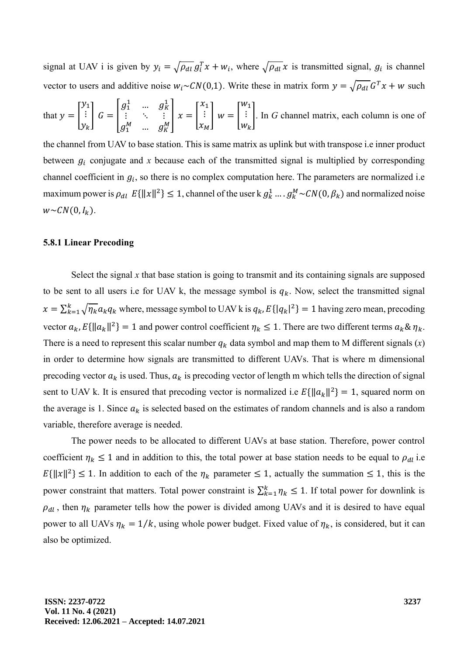signal at UAV i is given by  $y_i = \sqrt{\rho_{di}} g_i^T x + w_i$ , where  $\sqrt{\rho_{di}} x$  is transmitted signal,  $g_i$  is channel vector to users and additive noise  $w_i \sim CN(0,1)$ . Write these in matrix form  $y = \sqrt{\rho_{dl}} G^T x + w$  such

that 
$$
y = \begin{bmatrix} y_1 \\ \vdots \\ y_k \end{bmatrix} G = \begin{bmatrix} g_1^1 & \dots & g_K^1 \\ \vdots & \ddots & \vdots \\ g_1^M & \dots & g_K^M \end{bmatrix} x = \begin{bmatrix} x_1 \\ \vdots \\ x_M \end{bmatrix} w = \begin{bmatrix} w_1 \\ \vdots \\ w_k \end{bmatrix}
$$
. In *G* channel matrix, each column is one of

the channel from UAV to base station. This is same matrix as uplink but with transpose i.e inner product between  $g_i$  conjugate and x because each of the transmitted signal is multiplied by corresponding channel coefficient in  $g_i$ , so there is no complex computation here. The parameters are normalized i.e maximum power is  $\rho_{dl} E\{\|x\|^2\} \leq 1$ , channel of the user k  $g_k^1 \dots g_k^M \sim CN(0, \beta_k)$  and normalized noise  $w \sim \mathcal{CN}(0,I_k).$ 

#### **5.8.1 Linear Precoding**

Select the signal  $x$  that base station is going to transmit and its containing signals are supposed to be sent to all users i.e for UAV k, the message symbol is  $q_k$ . Now, select the transmitted signal  $x = \sum_{k=1}^{k} \sqrt{\eta_k} a_k q_k$  where, message symbol to UAV k is  $q_k$ ,  $E\{|q_k|^2\} = 1$  having zero mean, precoding vector  $a_k$ ,  $E\{\|a_k\|^2\} = 1$  and power control coefficient  $\eta_k \le 1$ . There are two different terms  $a_k \& \eta_k$ . There is a need to represent this scalar number  $q_k$  data symbol and map them to M different signals  $(x)$ in order to determine how signals are transmitted to different UAVs. That is where m dimensional precoding vector  $a_k$  is used. Thus,  $a_k$  is precoding vector of length m which tells the direction of signal sent to UAV k. It is ensured that precoding vector is normalized i.e  $E\{\|a_k\|^2\} = 1$ , squared norm on the average is 1. Since  $a_k$  is selected based on the estimates of random channels and is also a random variable, therefore average is needed.

The power needs to be allocated to different UAVs at base station. Therefore, power control coefficient  $\eta_k \leq 1$  and in addition to this, the total power at base station needs to be equal to  $\rho_{dl}$  i.e  $E\{\|x\|^2\} \leq 1$ . In addition to each of the  $\eta_k$  parameter  $\leq 1$ , actually the summation  $\leq 1$ , this is the power constraint that matters. Total power constraint is  $\sum_{k=1}^{k} \eta_k \leq 1$ . If total power for downlink is  $\rho_{dl}$ , then  $\eta_k$  parameter tells how the power is divided among UAVs and it is desired to have equal power to all UAVs  $\eta_k = 1/k$ , using whole power budget. Fixed value of  $\eta_k$ , is considered, but it can also be optimized.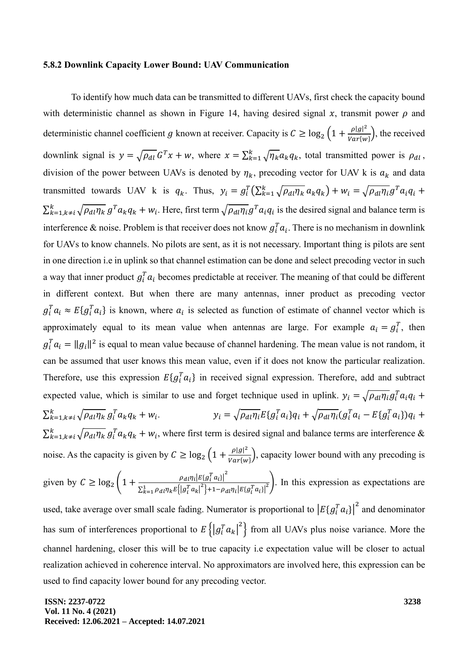#### **5.8.2 Downlink Capacity Lower Bound: UAV Communication**

To identify how much data can be transmitted to different UAVs, first check the capacity bound with deterministic channel as shown in Figure 14, having desired signal  $x$ , transmit power  $\rho$  and deterministic channel coefficient g known at receiver. Capacity is  $C \geq \log_2 \left(1 + \frac{\rho |g|^2}{Var\{h\}}\right)$  $\frac{P|g|}{Var\{w\}}$ , the received downlink signal is  $y = \sqrt{\rho_{dl}} G^T x + w$ , where  $x = \sum_{k=1}^{k} \sqrt{\eta_k} a_k q_k$ , total transmitted power is  $\rho_{dl}$ , division of the power between UAVs is denoted by  $\eta_k$ , precoding vector for UAV k is  $a_k$  and data transmitted towards UAV k is  $q_k$ . Thus,  $y_i = g_i^T (\sum_{k=1}^k \sqrt{\rho_{dl} \eta_k} a_k q_k) + w_i = \sqrt{\rho_{dl} \eta_i} g^T a_i q_i +$  $\sum_{k=1,k\neq i}^{k} \sqrt{\rho_{dl}\eta_k} g^T a_k q_k + w_i$ . Here, first term  $\sqrt{\rho_{dl}\eta_i} g^T a_i q_i$  is the desired signal and balance term is interference & noise. Problem is that receiver does not know  $g_i^T a_i$ . There is no mechanism in downlink for UAVs to know channels. No pilots are sent, as it is not necessary. Important thing is pilots are sent in one direction i.e in uplink so that channel estimation can be done and select precoding vector in such a way that inner product  $g_i^T a_i$  becomes predictable at receiver. The meaning of that could be different in different context. But when there are many antennas, inner product as precoding vector  $g_i^T a_i \approx E\{g_i^T a_i\}$  is known, where  $a_i$  is selected as function of estimate of channel vector which is approximately equal to its mean value when antennas are large. For example  $a_i = g_i^T$ , then  $g_i^T a_i = ||g_i||^2$  is equal to mean value because of channel hardening. The mean value is not random, it can be assumed that user knows this mean value, even if it does not know the particular realization. Therefore, use this expression  $E{g_i^T a_i}$  in received signal expression. Therefore, add and subtract expected value, which is similar to use and forget technique used in uplink.  $y_i = \sqrt{\rho_{di} \eta_i} g_i^T a_i q_i +$  $\sum_{k=1,k\neq i}^{k}\sqrt{\rho_{dl}\eta_{k}}\,g_{i}^{T}a_{k}q_{k}+w_{i}$ .  $y_i = \sqrt{\rho_{dl} \eta_i} E\{g_i^T a_i\} q_i + \sqrt{\rho_{dl} \eta_i} (g_i^T a_i - E\{g_i^T a_i\}) q_i +$  $\sum_{k=1,k\neq i}^{k} \sqrt{\rho_{dl} \eta_k} g_l^T a_k q_k + w_i$ , where first term is desired signal and balance terms are interference & noise. As the capacity is given by  $C \ge \log_2 \left(1 + \frac{\rho |g|^2}{Var{w}}\right)$  $\frac{p|g|}{Var{w}}$ , capacity lower bound with any precoding is given by  $C \geq \log_2 \left(1 + \frac{\rho_{dl} \eta_l |E[g_l^T a_l]|^2}{\sum_{l=1}^{\infty} \rho_{dl} \eta_l |E[g_l^T a_l]|^2}\right)$  $\sum_{k=1}^{1} \rho_{dl} \eta_k E\left\{ \left| g_i^T a_k \right|^2 \right\} + 1 - \rho_{dl} \eta_i \left| E\{ g_i^T a_i \} \right|^2$ ). In this expression as expectations are used, take average over small scale fading. Numerator is proportional to  $\left|E\{g_i^Ta_i\}\right|^2$  and denominator has sum of interferences proportional to  $E\left\{\left|g_i^Ta_k\right|^2\right\}$  from all UAVs plus noise variance. More the channel hardening, closer this will be to true capacity i.e expectation value will be closer to actual

realization achieved in coherence interval. No approximators are involved here, this expression can be used to find capacity lower bound for any precoding vector.

**ISSN: 2237-0722 Vol. 11 No. 4 (2021) Received: 12.06.2021 – Accepted: 14.07.2021**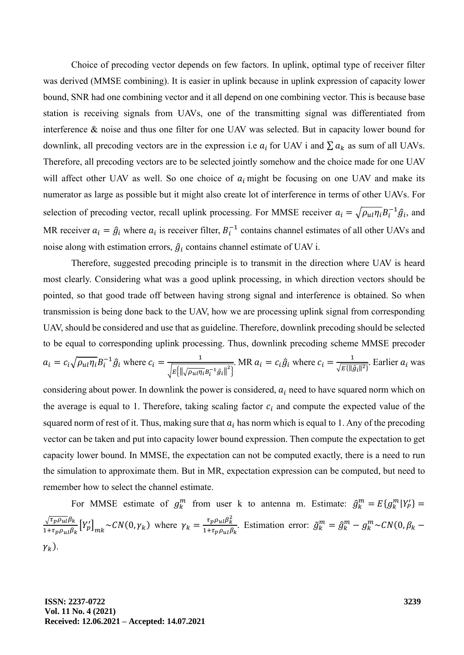Choice of precoding vector depends on few factors. In uplink, optimal type of receiver filter was derived (MMSE combining). It is easier in uplink because in uplink expression of capacity lower bound, SNR had one combining vector and it all depend on one combining vector. This is because base station is receiving signals from UAVs, one of the transmitting signal was differentiated from interference & noise and thus one filter for one UAV was selected. But in capacity lower bound for downlink, all precoding vectors are in the expression i.e  $a_i$  for UAV i and  $\sum a_k$  as sum of all UAVs. Therefore, all precoding vectors are to be selected jointly somehow and the choice made for one UAV will affect other UAV as well. So one choice of  $a_i$  might be focusing on one UAV and make its numerator as large as possible but it might also create lot of interference in terms of other UAVs. For selection of precoding vector, recall uplink processing. For MMSE receiver  $a_i = \sqrt{\rho_{ul} \eta_i} B_i^{-1} \hat{g}_i$ , and MR receiver  $a_i = \hat{g}_i$  where  $a_i$  is receiver filter,  $B_i^{-1}$  contains channel estimates of all other UAVs and noise along with estimation errors,  $\hat{g}_i$  contains channel estimate of UAV i.

Therefore, suggested precoding principle is to transmit in the direction where UAV is heard most clearly. Considering what was a good uplink processing, in which direction vectors should be pointed, so that good trade off between having strong signal and interference is obtained. So when transmission is being done back to the UAV, how we are processing uplink signal from corresponding UAV, should be considered and use that as guideline. Therefore, downlink precoding should be selected to be equal to corresponding uplink processing. Thus, downlink precoding scheme MMSE precoder  $a_i = c_i \sqrt{\rho_{ul} \eta_i} B_i^{-1} \hat{g}_i$  where  $c_i = \frac{1}{\sqrt{C_i} C_i}$  $\sqrt{E\left\{\left\|\sqrt{\rho_{ul}\eta_i}B_i^{-1}\hat{g}_i\right\|^2\right\}}$ . MR  $a_i = c_i \hat{g}_i$  where  $c_i = \frac{1}{\sqrt{E} \hat{g}_i}$  $\frac{1}{\sqrt{E\{\|\hat{g}_i\|^2\}}}$ . Earlier  $a_i$  was

considering about power. In downlink the power is considered,  $a_i$  need to have squared norm which on the average is equal to 1. Therefore, taking scaling factor  $c_i$  and compute the expected value of the squared norm of rest of it. Thus, making sure that  $a_i$  has norm which is equal to 1. Any of the precoding vector can be taken and put into capacity lower bound expression. Then compute the expectation to get capacity lower bound. In MMSE, the expectation can not be computed exactly, there is a need to run the simulation to approximate them. But in MR, expectation expression can be computed, but need to remember how to select the channel estimate.

For MMSE estimate of  $g_k^m$  from user k to antenna m. Estimate:  $\hat{g}_k^m = E\{g_k^m | Y_p' \}$  $\sqrt{\tau_p \rho_{ul}} \beta_k$  $\frac{\sqrt{\tau_p \rho_{ul}} \beta_k}{1 + \tau_p \rho_{ul} \beta_k} [Y'_p]_{mk} \sim CN(0, \gamma_k)$  where  $\gamma_k = \frac{\tau_p \rho_{ul} \beta_k^2}{1 + \tau_p \rho_{ul} \beta_k^2}$  $\frac{\tau_p \rho_{ul} \rho_k}{1 + \tau_p \rho_{ul} \beta_k}$ . Estimation error:  $\tilde{g}_k^m = \hat{g}_k^m - g_k^m \sim CN(0, \beta_k - 1)$  $\gamma_k$ ).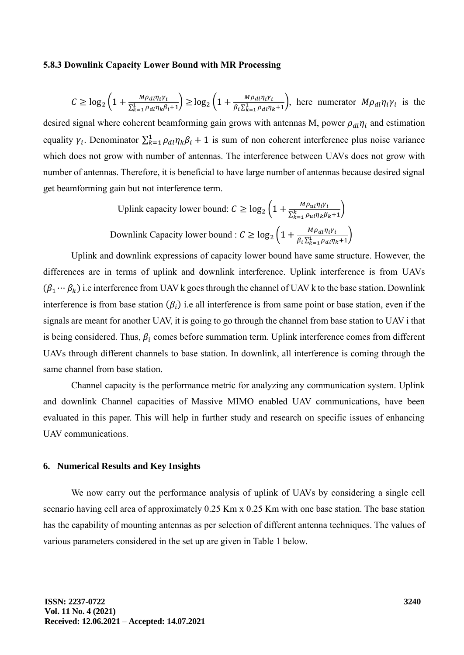#### **5.8.3 Downlink Capacity Lower Bound with MR Processing**

$$
C \ge \log_2\left(1 + \frac{M\rho_{dl}\eta_i\gamma_i}{\sum_{k=1}^1 \rho_{dl}\eta_k\beta_i + 1}\right) \ge \log_2\left(1 + \frac{M\rho_{dl}\eta_i\gamma_i}{\beta_i\sum_{k=1}^1 \rho_{dl}\eta_k + 1}\right),
$$
 here numerator  $M\rho_{dl}\eta_i\gamma_i$  is the

desired signal where coherent beamforming gain grows with antennas M, power  $\rho_{dl}\eta_i$  and estimation equality  $\gamma_i$ . Denominator  $\sum_{k=1}^1 \rho_{dl} \eta_k \beta_i + 1$  is sum of non coherent interference plus noise variance which does not grow with number of antennas. The interference between UAVs does not grow with number of antennas. Therefore, it is beneficial to have large number of antennas because desired signal get beamforming gain but not interference term.

Uplink capacity lower bound: 
$$
C \ge \log_2 \left( 1 + \frac{M \rho_{ul} \eta_i \gamma_i}{\sum_{k=1}^k \rho_{ul} \eta_k \beta_k + 1} \right)
$$
  
Downlink Capacity lower bound:  $C \ge \log_2 \left( 1 + \frac{M \rho_{dl} \eta_i \gamma_i}{\beta_i \sum_{k=1}^l \rho_{dl} \eta_k + 1} \right)$ 

Uplink and downlink expressions of capacity lower bound have same structure. However, the differences are in terms of uplink and downlink interference. Uplink interference is from UAVs  $(\beta_1 \cdots \beta_k)$  i.e interference from UAV k goes through the channel of UAV k to the base station. Downlink interference is from base station  $(\beta_i)$  i.e all interference is from same point or base station, even if the signals are meant for another UAV, it is going to go through the channel from base station to UAV i that is being considered. Thus,  $\beta_i$  comes before summation term. Uplink interference comes from different UAVs through different channels to base station. In downlink, all interference is coming through the same channel from base station.

Channel capacity is the performance metric for analyzing any communication system. Uplink and downlink Channel capacities of Massive MIMO enabled UAV communications, have been evaluated in this paper. This will help in further study and research on specific issues of enhancing UAV communications.

#### **6. Numerical Results and Key Insights**

We now carry out the performance analysis of uplink of UAVs by considering a single cell scenario having cell area of approximately 0.25 Km x 0.25 Km with one base station. The base station has the capability of mounting antennas as per selection of different antenna techniques. The values of various parameters considered in the set up are given in Table 1 below.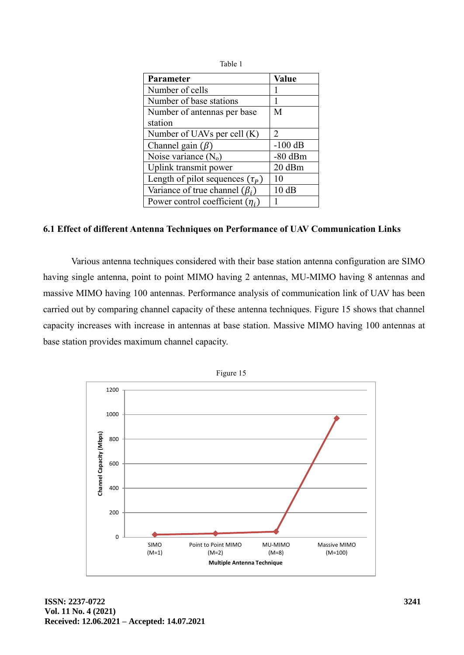| Table 1                              |              |
|--------------------------------------|--------------|
| Parameter                            | <b>Value</b> |
| Number of cells                      |              |
| Number of base stations              | 1            |
| Number of antennas per base          | M            |
| station                              |              |
| Number of UAVs per cell (K)          | 2            |
| Channel gain $(\beta)$               | $-100$ dB    |
| Noise variance $(N_0)$               | $-80$ dBm    |
| Uplink transmit power                | 20 dBm       |
| Length of pilot sequences $(\tau_P)$ | 10           |
| Variance of true channel $(\beta_i)$ | 10dB         |
| Power control coefficient $(\eta_i)$ |              |
|                                      |              |

# **6.1 Effect of different Antenna Techniques on Performance of UAV Communication Links**

Various antenna techniques considered with their base station antenna configuration are SIMO having single antenna, point to point MIMO having 2 antennas, MU-MIMO having 8 antennas and massive MIMO having 100 antennas. Performance analysis of communication link of UAV has been carried out by comparing channel capacity of these antenna techniques. Figure 15 shows that channel capacity increases with increase in antennas at base station. Massive MIMO having 100 antennas at base station provides maximum channel capacity.

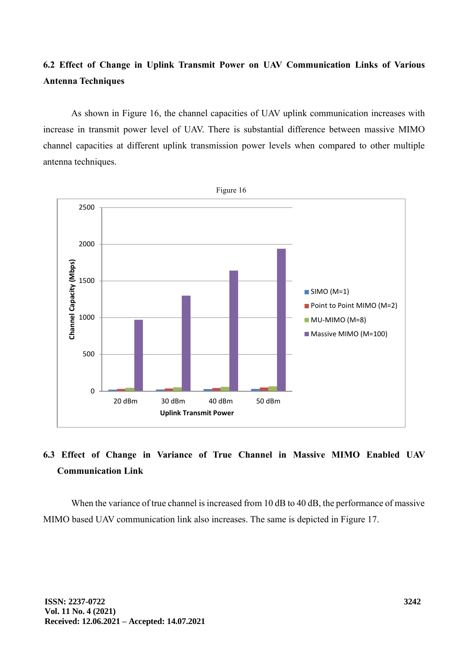# **6.2 Effect of Change in Uplink Transmit Power on UAV Communication Links of Various Antenna Techniques**

As shown in Figure 16, the channel capacities of UAV uplink communication increases with increase in transmit power level of UAV. There is substantial difference between massive MIMO channel capacities at different uplink transmission power levels when compared to other multiple antenna techniques.



# **6.3 Effect of Change in Variance of True Channel in Massive MIMO Enabled UAV Communication Link**

When the variance of true channel is increased from 10 dB to 40 dB, the performance of massive MIMO based UAV communication link also increases. The same is depicted in Figure 17.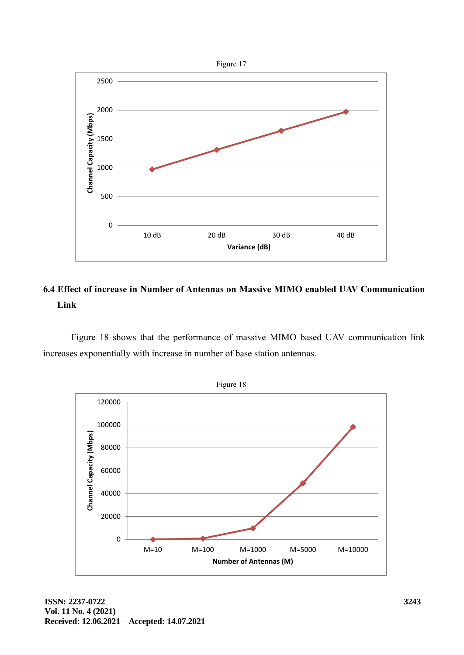

# **6.4 Effect of increase in Number of Antennas on Massive MIMO enabled UAV Communication Link**

Figure 18 shows that the performance of massive MIMO based UAV communication link increases exponentially with increase in number of base station antennas.

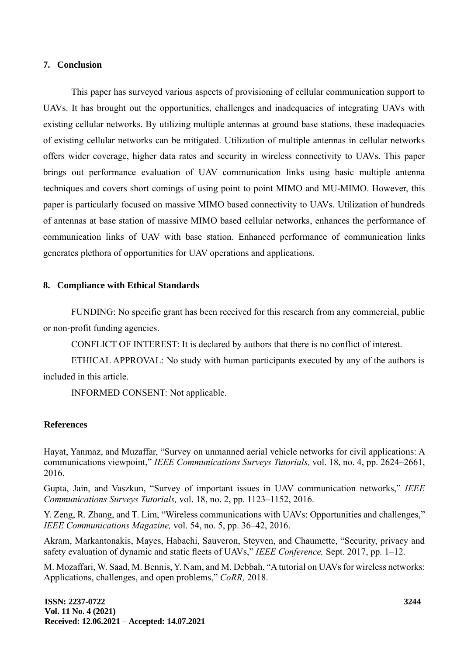#### **7. Conclusion**

This paper has surveyed various aspects of provisioning of cellular communication support to UAVs. It has brought out the opportunities, challenges and inadequacies of integrating UAVs with existing cellular networks. By utilizing multiple antennas at ground base stations, these inadequacies of existing cellular networks can be mitigated. Utilization of multiple antennas in cellular networks offers wider coverage, higher data rates and security in wireless connectivity to UAVs. This paper brings out performance evaluation of UAV communication links using basic multiple antenna techniques and covers short comings of using point to point MIMO and MU-MIMO. However, this paper is particularly focused on massive MIMO based connectivity to UAVs. Utilization of hundreds of antennas at base station of massive MIMO based cellular networks, enhances the performance of communication links of UAV with base station. Enhanced performance of communication links generates plethora of opportunities for UAV operations and applications.

## **8. Compliance with Ethical Standards**

FUNDING: No specific grant has been received for this research from any commercial, public or non-profit funding agencies.

CONFLICT OF INTEREST: It is declared by authors that there is no conflict of interest.

ETHICAL APPROVAL: No study with human participants executed by any of the authors is included in this article.

INFORMED CONSENT: Not applicable.

#### **References**

Hayat, Yanmaz, and Muzaffar, "Survey on unmanned aerial vehicle networks for civil applications: A communications viewpoint," *IEEE Communications Surveys Tutorials,* vol. 18, no. 4, pp. 2624–2661, 2016.

Gupta, Jain, and Vaszkun, "Survey of important issues in UAV communication networks," *IEEE Communications Surveys Tutorials,* vol. 18, no. 2, pp. 1123–1152, 2016.

Y. Zeng, R. Zhang, and T. Lim, "Wireless communications with UAVs: Opportunities and challenges," *IEEE Communications Magazine,* vol. 54, no. 5, pp. 36–42, 2016.

Akram, Markantonakis, Mayes, Habachi, Sauveron, Steyven, and Chaumette, "Security, privacy and safety evaluation of dynamic and static fleets of UAVs," *IEEE Conference,* Sept. 2017, pp. 1–12.

M. Mozaffari, W. Saad, M. Bennis, Y. Nam, and M. Debbah, "A tutorial on UAVs for wireless networks: Applications, challenges, and open problems," *CoRR,* 2018.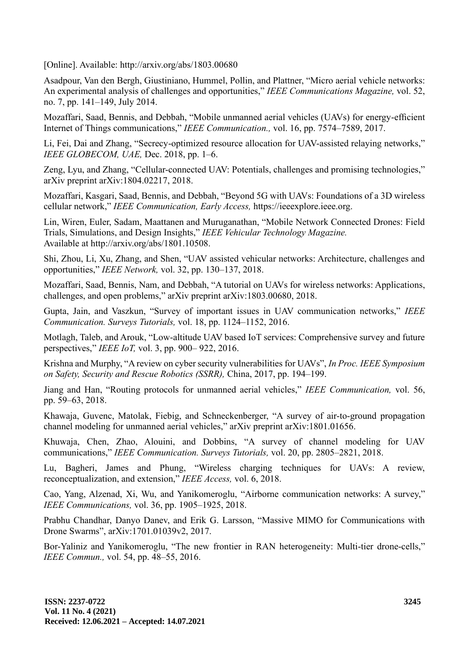[Online]. Available: http://arxiv.org/abs/1803.00680

Asadpour, Van den Bergh, Giustiniano, Hummel, Pollin, and Plattner, "Micro aerial vehicle networks: An experimental analysis of challenges and opportunities," *IEEE Communications Magazine,* vol. 52, no. 7, pp. 141–149, July 2014.

Mozaffari, Saad, Bennis, and Debbah, "Mobile unmanned aerial vehicles (UAVs) for energy-efficient Internet of Things communications," *IEEE Communication.,* vol. 16, pp. 7574–7589, 2017.

Li, Fei, Dai and Zhang, "Secrecy-optimized resource allocation for UAV-assisted relaying networks," *IEEE GLOBECOM, UAE,* Dec. 2018, pp. 1–6.

Zeng, Lyu, and Zhang, "Cellular-connected UAV: Potentials, challenges and promising technologies," arXiv preprint arXiv:1804.02217, 2018.

Mozaffari, Kasgari, Saad, Bennis, and Debbah, "Beyond 5G with UAVs: Foundations of a 3D wireless cellular network," *IEEE Communication, Early Access,* https://ieeexplore.ieee.org.

Lin, Wiren, Euler, Sadam, Maattanen and Muruganathan, "Mobile Network Connected Drones: Field Trials, Simulations, and Design Insights," *IEEE Vehicular Technology Magazine.* Available at http://arxiv.org/abs/1801.10508.

Shi, Zhou, Li, Xu, Zhang, and Shen, "UAV assisted vehicular networks: Architecture, challenges and opportunities," *IEEE Network,* vol. 32, pp. 130–137, 2018.

Mozaffari, Saad, Bennis, Nam, and Debbah, "A tutorial on UAVs for wireless networks: Applications, challenges, and open problems," arXiv preprint arXiv:1803.00680, 2018.

Gupta, Jain, and Vaszkun, "Survey of important issues in UAV communication networks," *IEEE Communication. Surveys Tutorials,* vol. 18, pp. 1124–1152, 2016.

Motlagh, Taleb, and Arouk, "Low-altitude UAV based IoT services: Comprehensive survey and future perspectives," *IEEE IoT,* vol. 3, pp. 900– 922, 2016.

Krishna and Murphy, "A review on cyber security vulnerabilities for UAVs", *In Proc. IEEE Symposium on Safety, Security and Rescue Robotics (SSRR),* China, 2017, pp. 194–199.

Jiang and Han, "Routing protocols for unmanned aerial vehicles," *IEEE Communication,* vol. 56, pp. 59–63, 2018.

Khawaja, Guvenc, Matolak, Fiebig, and Schneckenberger, "A survey of air-to-ground propagation channel modeling for unmanned aerial vehicles," arXiv preprint arXiv:1801.01656.

Khuwaja, Chen, Zhao, Alouini, and Dobbins, "A survey of channel modeling for UAV communications," *IEEE Communication. Surveys Tutorials,* vol. 20, pp. 2805–2821, 2018.

Lu, Bagheri, James and Phung, "Wireless charging techniques for UAVs: A review, reconceptualization, and extension," *IEEE Access,* vol. 6, 2018.

Cao, Yang, Alzenad, Xi, Wu, and Yanikomeroglu, "Airborne communication networks: A survey," *IEEE Communications,* vol. 36, pp. 1905–1925, 2018.

Prabhu Chandhar, Danyo Danev, and Erik G. Larsson, "Massive MIMO for Communications with Drone Swarms", arXiv:1701.01039v2, 2017.

Bor-Yaliniz and Yanikomeroglu, "The new frontier in RAN heterogeneity: Multi-tier drone-cells," *IEEE Commun.,* vol. 54, pp. 48–55, 2016.